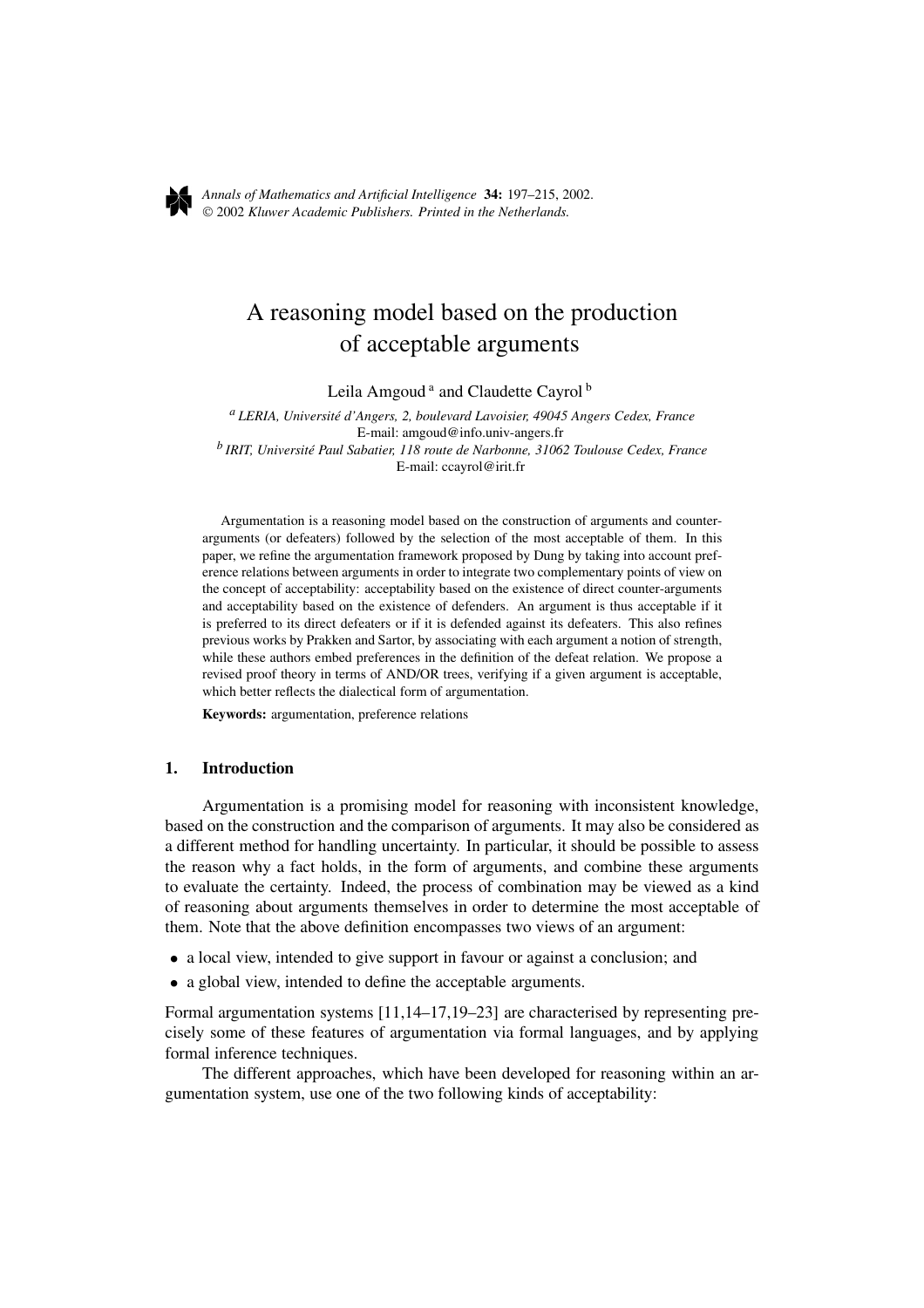*Annals of Mathematics and Artificial Intelligence* **34:** 197–215, 2002. 2002 *Kluwer Academic Publishers. Printed in the Netherlands.*

# A reasoning model based on the production of acceptable arguments

Leila Amgoud<sup>a</sup> and Claudette Cayrol<sup>b</sup>

*<sup>a</sup> LERIA, Université d'Angers, 2, boulevard Lavoisier, 49045 Angers Cedex, France* E-mail: amgoud@info.univ-angers.fr *<sup>b</sup> IRIT, Université Paul Sabatier, 118 route de Narbonne, 31062 Toulouse Cedex, France* E-mail: ccayrol@irit.fr

Argumentation is a reasoning model based on the construction of arguments and counterarguments (or defeaters) followed by the selection of the most acceptable of them. In this paper, we refine the argumentation framework proposed by Dung by taking into account preference relations between arguments in order to integrate two complementary points of view on the concept of acceptability: acceptability based on the existence of direct counter-arguments and acceptability based on the existence of defenders. An argument is thus acceptable if it is preferred to its direct defeaters or if it is defended against its defeaters. This also refines previous works by Prakken and Sartor, by associating with each argument a notion of strength, while these authors embed preferences in the definition of the defeat relation. We propose a revised proof theory in terms of AND/OR trees, verifying if a given argument is acceptable, which better reflects the dialectical form of argumentation.

**Keywords:** argumentation, preference relations

# **1. Introduction**

Argumentation is a promising model for reasoning with inconsistent knowledge, based on the construction and the comparison of arguments. It may also be considered as a different method for handling uncertainty. In particular, it should be possible to assess the reason why a fact holds, in the form of arguments, and combine these arguments to evaluate the certainty. Indeed, the process of combination may be viewed as a kind of reasoning about arguments themselves in order to determine the most acceptable of them. Note that the above definition encompasses two views of an argument:

- a local view, intended to give support in favour or against a conclusion; and
- a global view, intended to define the acceptable arguments.

Formal argumentation systems [11,14–17,19–23] are characterised by representing precisely some of these features of argumentation via formal languages, and by applying formal inference techniques.

The different approaches, which have been developed for reasoning within an argumentation system, use one of the two following kinds of acceptability: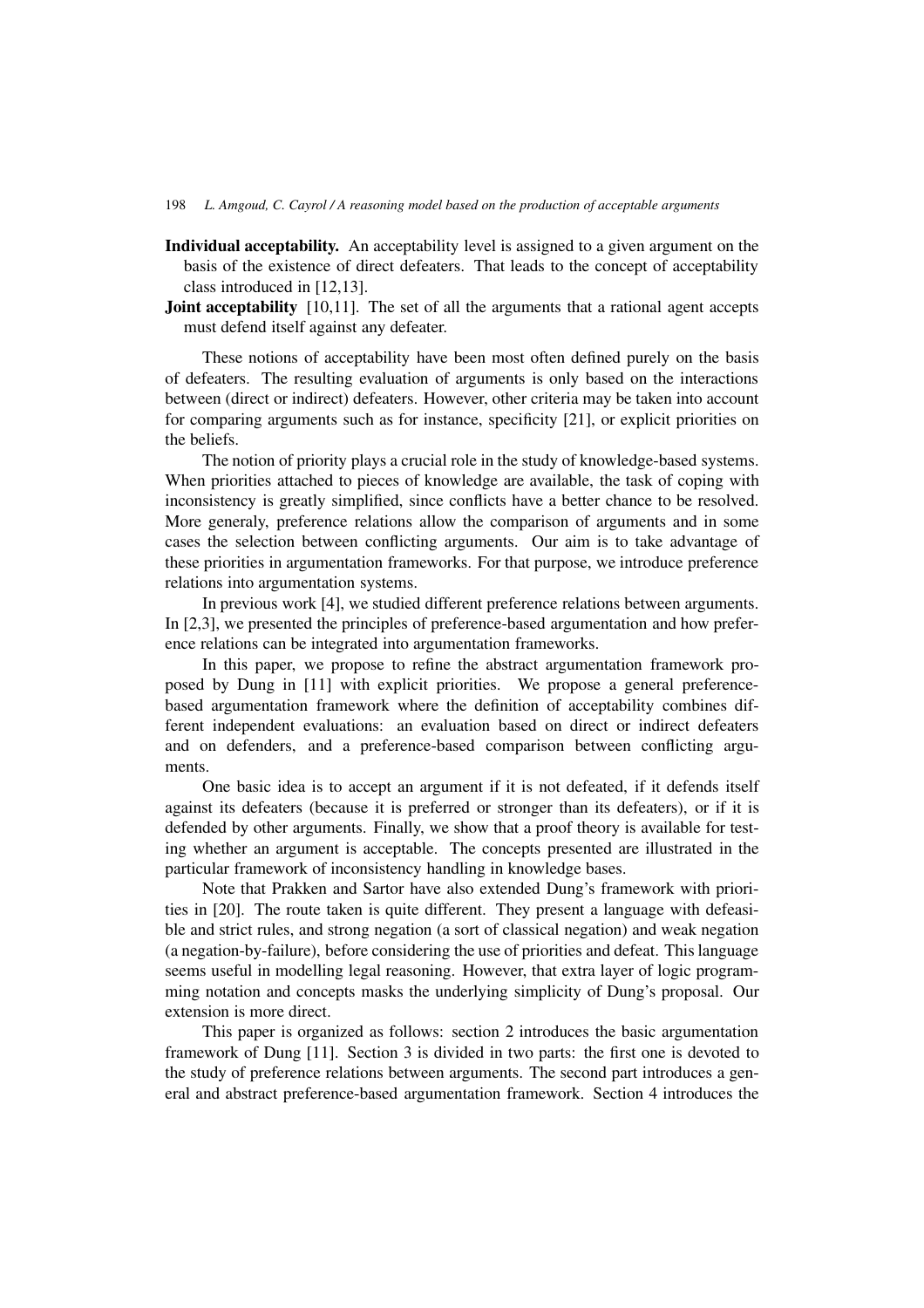- **Individual acceptability.** An acceptability level is assigned to a given argument on the basis of the existence of direct defeaters. That leads to the concept of acceptability class introduced in [12,13].
- **Joint acceptability** [10,11]. The set of all the arguments that a rational agent accepts must defend itself against any defeater.

These notions of acceptability have been most often defined purely on the basis of defeaters. The resulting evaluation of arguments is only based on the interactions between (direct or indirect) defeaters. However, other criteria may be taken into account for comparing arguments such as for instance, specificity [21], or explicit priorities on the beliefs.

The notion of priority plays a crucial role in the study of knowledge-based systems. When priorities attached to pieces of knowledge are available, the task of coping with inconsistency is greatly simplified, since conflicts have a better chance to be resolved. More generaly, preference relations allow the comparison of arguments and in some cases the selection between conflicting arguments. Our aim is to take advantage of these priorities in argumentation frameworks. For that purpose, we introduce preference relations into argumentation systems.

In previous work [4], we studied different preference relations between arguments. In [2,3], we presented the principles of preference-based argumentation and how preference relations can be integrated into argumentation frameworks.

In this paper, we propose to refine the abstract argumentation framework proposed by Dung in [11] with explicit priorities. We propose a general preferencebased argumentation framework where the definition of acceptability combines different independent evaluations: an evaluation based on direct or indirect defeaters and on defenders, and a preference-based comparison between conflicting arguments.

One basic idea is to accept an argument if it is not defeated, if it defends itself against its defeaters (because it is preferred or stronger than its defeaters), or if it is defended by other arguments. Finally, we show that a proof theory is available for testing whether an argument is acceptable. The concepts presented are illustrated in the particular framework of inconsistency handling in knowledge bases.

Note that Prakken and Sartor have also extended Dung's framework with priorities in [20]. The route taken is quite different. They present a language with defeasible and strict rules, and strong negation (a sort of classical negation) and weak negation (a negation-by-failure), before considering the use of priorities and defeat. This language seems useful in modelling legal reasoning. However, that extra layer of logic programming notation and concepts masks the underlying simplicity of Dung's proposal. Our extension is more direct.

This paper is organized as follows: section 2 introduces the basic argumentation framework of Dung [11]. Section 3 is divided in two parts: the first one is devoted to the study of preference relations between arguments. The second part introduces a general and abstract preference-based argumentation framework. Section 4 introduces the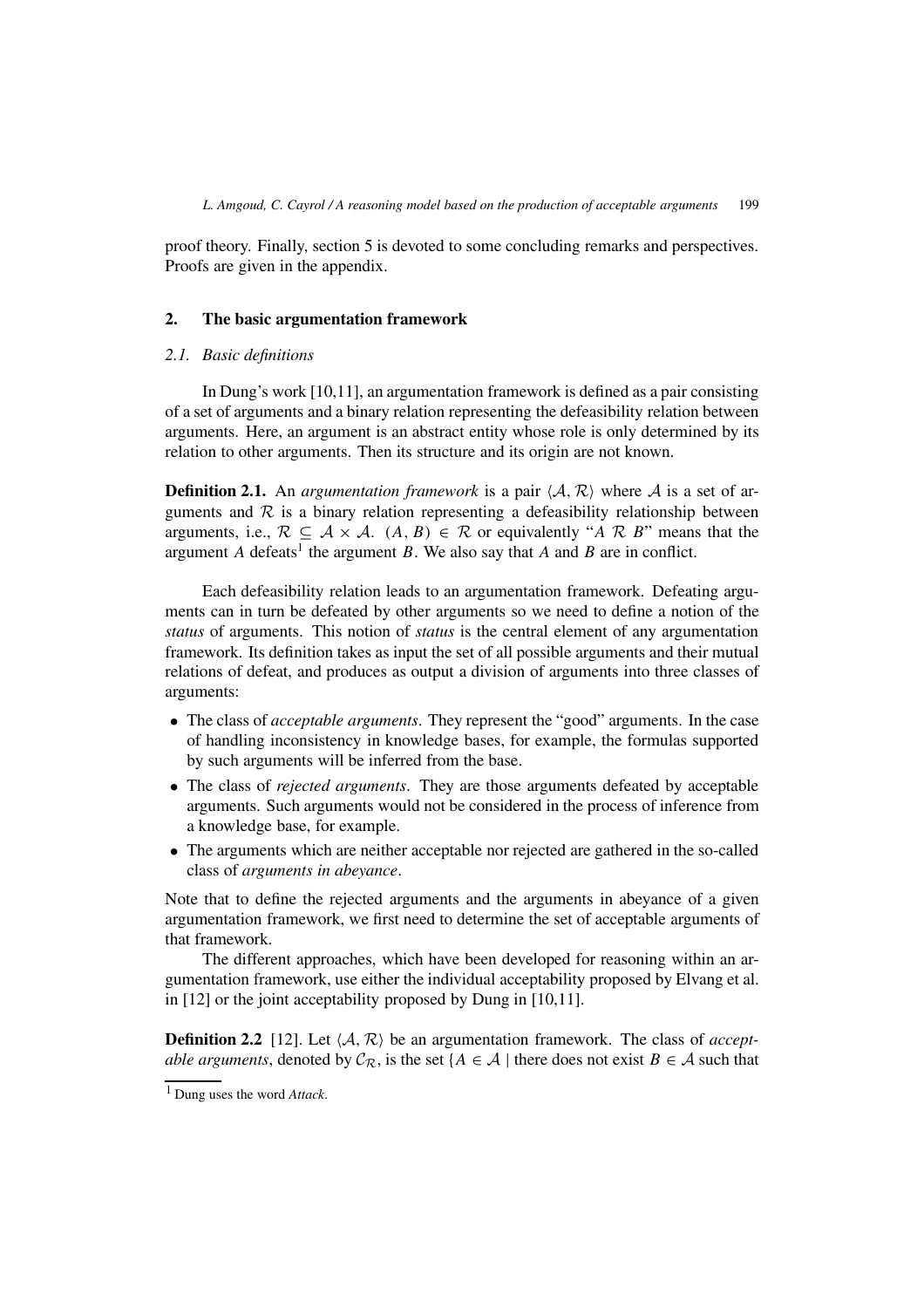proof theory. Finally, section 5 is devoted to some concluding remarks and perspectives. Proofs are given in the appendix.

# **2. The basic argumentation framework**

# *2.1. Basic definitions*

In Dung's work [10,11], an argumentation framework is defined as a pair consisting of a set of arguments and a binary relation representing the defeasibility relation between arguments. Here, an argument is an abstract entity whose role is only determined by its relation to other arguments. Then its structure and its origin are not known.

**Definition 2.1.** An *argumentation framework* is a pair  $\langle A, R \rangle$  where A is a set of arguments and  $R$  is a binary relation representing a defeasibility relationship between arguments, i.e.,  $\mathcal{R} \subseteq \mathcal{A} \times \mathcal{A}$ .  $(A, B) \in \mathcal{R}$  or equivalently "*A*  $\mathcal{R}$  *B*" means that the argument *A* defeats<sup>1</sup> the argument *B*. We also say that *A* and *B* are in conflict.

Each defeasibility relation leads to an argumentation framework. Defeating arguments can in turn be defeated by other arguments so we need to define a notion of the *status* of arguments. This notion of *status* is the central element of any argumentation framework. Its definition takes as input the set of all possible arguments and their mutual relations of defeat, and produces as output a division of arguments into three classes of arguments:

- The class of *acceptable arguments*. They represent the "good" arguments. In the case of handling inconsistency in knowledge bases, for example, the formulas supported by such arguments will be inferred from the base.
- The class of *rejected arguments*. They are those arguments defeated by acceptable arguments. Such arguments would not be considered in the process of inference from a knowledge base, for example.
- The arguments which are neither acceptable nor rejected are gathered in the so-called class of *arguments in abeyance*.

Note that to define the rejected arguments and the arguments in abeyance of a given argumentation framework, we first need to determine the set of acceptable arguments of that framework.

The different approaches, which have been developed for reasoning within an argumentation framework, use either the individual acceptability proposed by Elvang et al. in [12] or the joint acceptability proposed by Dung in [10,11].

**Definition 2.2** [12]. Let  $\langle A, R \rangle$  be an argumentation framework. The class of *acceptable arguments*, denoted by  $C_R$ , is the set { $A \in \mathcal{A}$  | there does not exist  $B \in \mathcal{A}$  such that

<sup>1</sup> Dung uses the word *Attack*.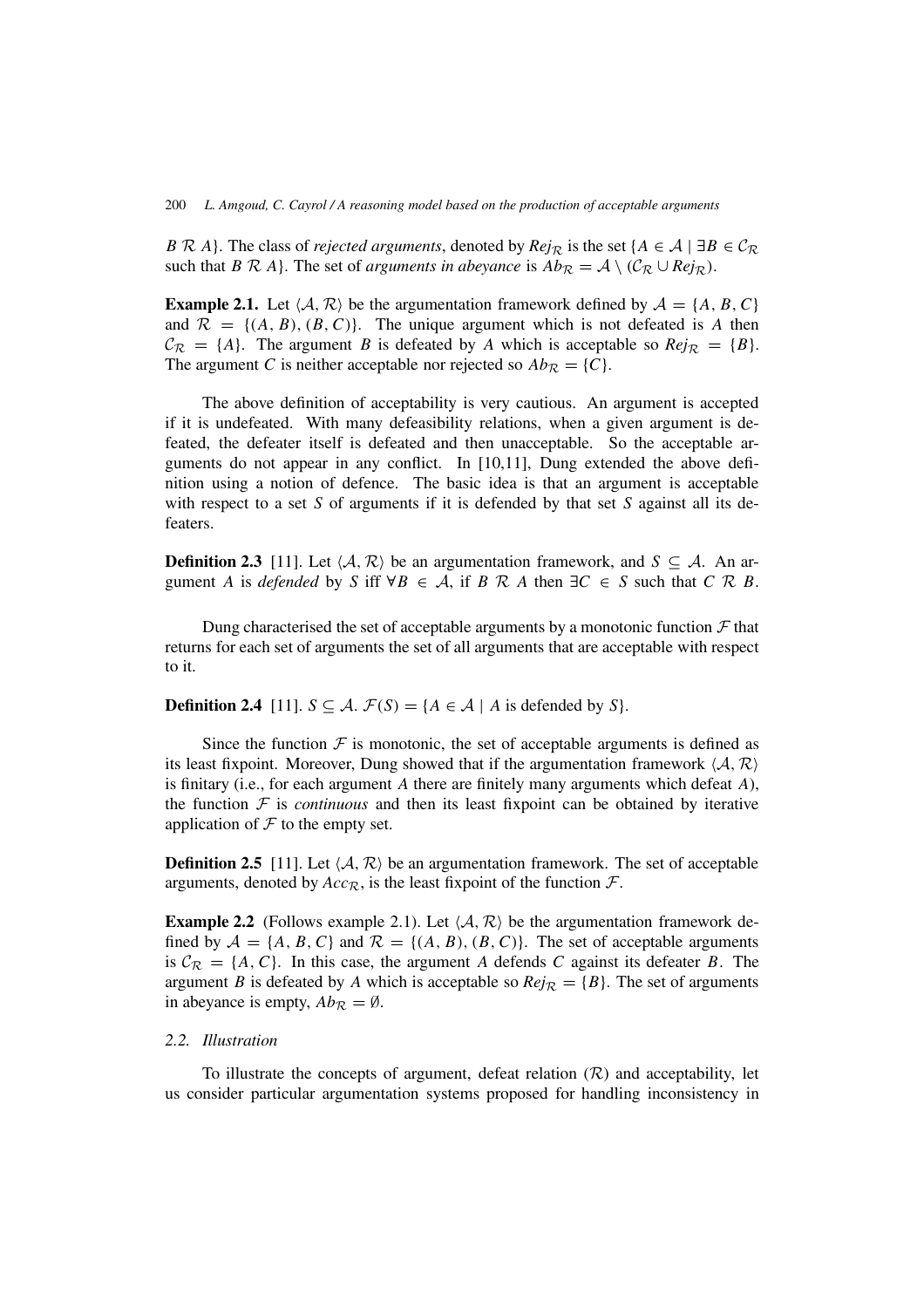*B*  $\mathcal{R}$  *A*}. The class of *rejected arguments*, denoted by  $Rej_{\mathcal{R}}$  is the set { $A \in \mathcal{A}$  | ∃*B* ∈  $\mathcal{C}_{\mathcal{R}}$ such that *B*  $\mathcal{R}$  *A*}. The set of *arguments in abeyance* is  $Ab_{\mathcal{R}} = \mathcal{A} \setminus (\mathcal{C}_{\mathcal{R}} \cup Rej_{\mathcal{R}})$ .

**Example 2.1.** Let  $\langle A, \mathcal{R} \rangle$  be the argumentation framework defined by  $A = \{A, B, C\}$ and  $\mathcal{R} = \{(A, B), (B, C)\}.$  The unique argument which is not defeated is A then  $C_{\mathcal{R}} = \{A\}$ . The argument *B* is defeated by *A* which is acceptable so  $Rej_{\mathcal{R}} = \{B\}$ . The argument *C* is neither acceptable nor rejected so  $Ab_R = \{C\}.$ 

The above definition of acceptability is very cautious. An argument is accepted if it is undefeated. With many defeasibility relations, when a given argument is defeated, the defeater itself is defeated and then unacceptable. So the acceptable arguments do not appear in any conflict. In [10,11], Dung extended the above definition using a notion of defence. The basic idea is that an argument is acceptable with respect to a set *S* of arguments if it is defended by that set *S* against all its defeaters.

**Definition 2.3** [11]. Let  $\langle A, R \rangle$  be an argumentation framework, and  $S \subseteq A$ . An argument *A* is *defended* by *S* iff  $\forall B \in \mathcal{A}$ , if  $B \mathcal{R} A$  then  $\exists C \in S$  such that  $C \mathcal{R} B$ .

Dung characterised the set of acceptable arguments by a monotonic function  $\mathcal F$  that returns for each set of arguments the set of all arguments that are acceptable with respect to it.

**Definition 2.4** [11]. *S*  $\subset$  *A*.  $\mathcal{F}(S) = \{A \in \mathcal{A} \mid A \text{ is defined by } S\}.$ 

Since the function  $\mathcal F$  is monotonic, the set of acceptable arguments is defined as its least fixpoint. Moreover, Dung showed that if the argumentation framework  $\langle A, R \rangle$ is finitary (i.e., for each argument *A* there are finitely many arguments which defeat *A*), the function  $F$  is *continuous* and then its least fixpoint can be obtained by iterative application of  $\mathcal F$  to the empty set.

**Definition 2.5** [11]. Let  $\langle A, \mathcal{R} \rangle$  be an argumentation framework. The set of acceptable arguments, denoted by  $Acc_{R}$ , is the least fixpoint of the function  $\mathcal{F}$ .

**Example 2.2** (Follows example 2.1). Let  $\langle A, R \rangle$  be the argumentation framework defined by  $A = \{A, B, C\}$  and  $\mathcal{R} = \{(A, B), (B, C)\}$ . The set of acceptable arguments is  $C_R = \{A, C\}$ . In this case, the argument *A* defends *C* against its defeater *B*. The argument *B* is defeated by *A* which is acceptable so  $Rej_R = \{B\}$ . The set of arguments in abeyance is empty,  $Ab_{\mathcal{R}} = \emptyset$ .

#### *2.2. Illustration*

To illustrate the concepts of argument, defeat relation  $(R)$  and acceptability, let us consider particular argumentation systems proposed for handling inconsistency in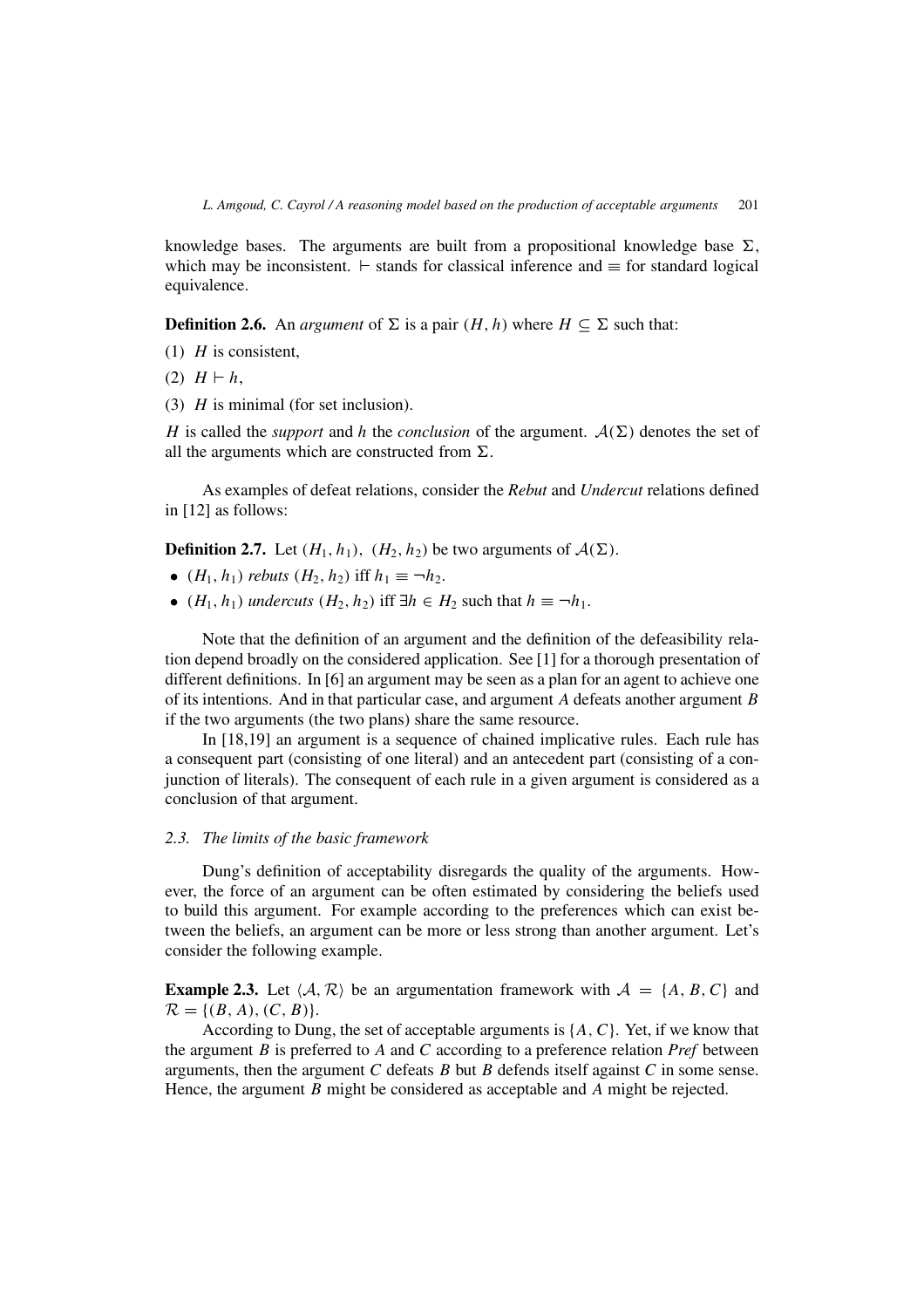knowledge bases. The arguments are built from a propositional knowledge base  $\Sigma$ , which may be inconsistent.  $\vdash$  stands for classical inference and  $\equiv$  for standard logical equivalence.

**Definition 2.6.** An *argument* of  $\Sigma$  is a pair  $(H, h)$  where  $H \subseteq \Sigma$  such that:

- (1) *H* is consistent,
- $(2)$   $H \vdash h$ ,
- (3) *H* is minimal (for set inclusion).

*H* is called the *support* and *h* the *conclusion* of the argument.  $A(\Sigma)$  denotes the set of all the arguments which are constructed from  $\Sigma$ .

As examples of defeat relations, consider the *Rebut* and *Undercut* relations defined in [12] as follows:

**Definition 2.7.** Let  $(H_1, h_1)$ ,  $(H_2, h_2)$  be two arguments of  $\mathcal{A}(\Sigma)$ .

- *(H<sub>1</sub>, h<sub>1</sub>) rebuts*  $(H_2, h_2)$  iff  $h_1 \equiv \neg h_2$ .
- *(H<sub>1</sub>, h<sub>1</sub>) undercuts*  $(H_2, h_2)$  iff  $\exists h \in H_2$  such that  $h \equiv \neg h_1$ .

Note that the definition of an argument and the definition of the defeasibility relation depend broadly on the considered application. See [1] for a thorough presentation of different definitions. In [6] an argument may be seen as a plan for an agent to achieve one of its intentions. And in that particular case, and argument *A* defeats another argument *B* if the two arguments (the two plans) share the same resource.

In [18,19] an argument is a sequence of chained implicative rules. Each rule has a consequent part (consisting of one literal) and an antecedent part (consisting of a conjunction of literals). The consequent of each rule in a given argument is considered as a conclusion of that argument.

#### *2.3. The limits of the basic framework*

Dung's definition of acceptability disregards the quality of the arguments. However, the force of an argument can be often estimated by considering the beliefs used to build this argument. For example according to the preferences which can exist between the beliefs, an argument can be more or less strong than another argument. Let's consider the following example.

**Example 2.3.** Let  $\langle A, R \rangle$  be an argumentation framework with  $A = \{A, B, C\}$  and  $\mathcal{R} = \{(B, A), (C, B)\}.$ 

According to Dung, the set of acceptable arguments is {*A, C*}. Yet, if we know that the argument *B* is preferred to *A* and *C* according to a preference relation *Pref* between arguments, then the argument *C* defeats *B* but *B* defends itself against *C* in some sense. Hence, the argument *B* might be considered as acceptable and *A* might be rejected.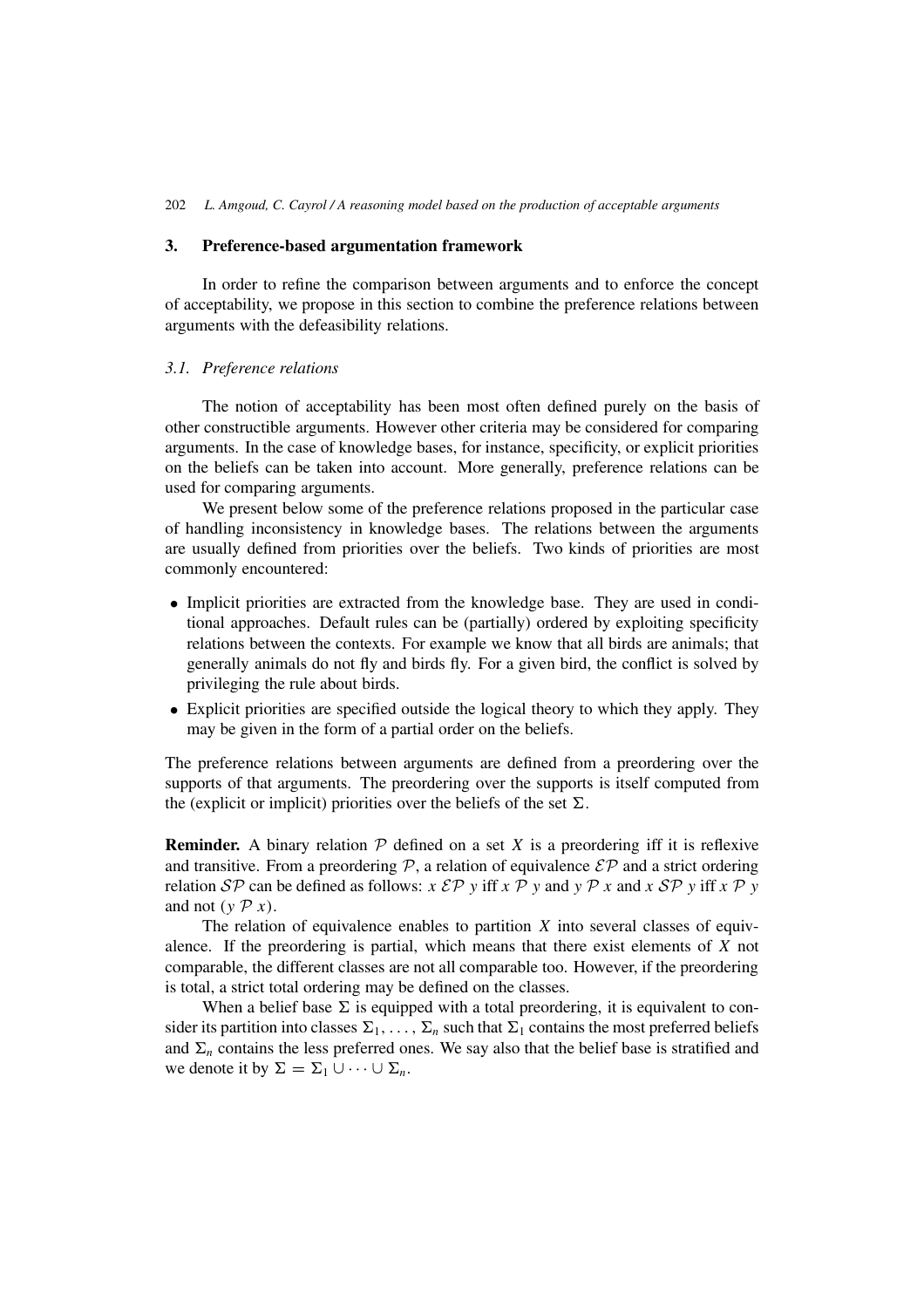# **3. Preference-based argumentation framework**

In order to refine the comparison between arguments and to enforce the concept of acceptability, we propose in this section to combine the preference relations between arguments with the defeasibility relations.

# *3.1. Preference relations*

The notion of acceptability has been most often defined purely on the basis of other constructible arguments. However other criteria may be considered for comparing arguments. In the case of knowledge bases, for instance, specificity, or explicit priorities on the beliefs can be taken into account. More generally, preference relations can be used for comparing arguments.

We present below some of the preference relations proposed in the particular case of handling inconsistency in knowledge bases. The relations between the arguments are usually defined from priorities over the beliefs. Two kinds of priorities are most commonly encountered:

- Implicit priorities are extracted from the knowledge base. They are used in conditional approaches. Default rules can be (partially) ordered by exploiting specificity relations between the contexts. For example we know that all birds are animals; that generally animals do not fly and birds fly. For a given bird, the conflict is solved by privileging the rule about birds.
- Explicit priorities are specified outside the logical theory to which they apply. They may be given in the form of a partial order on the beliefs.

The preference relations between arguments are defined from a preordering over the supports of that arguments. The preordering over the supports is itself computed from the (explicit or implicit) priorities over the beliefs of the set  $\Sigma$ .

**Reminder.** A binary relation  $P$  defined on a set X is a preordering iff it is reflexive and transitive. From a preordering  $P$ , a relation of equivalence  $\mathcal{EP}$  and a strict ordering relation SP can be defined as follows:  $x \, \mathcal{E} \mathcal{P} y$  iff  $x \, \mathcal{P} y$  and  $y \, \mathcal{P} x$  and  $x \, \mathcal{S} \mathcal{P} y$  iff  $x \, \mathcal{P} y$ and not  $(y \mathcal{P} x)$ .

The relation of equivalence enables to partition *X* into several classes of equivalence. If the preordering is partial, which means that there exist elements of *X* not comparable, the different classes are not all comparable too. However, if the preordering is total, a strict total ordering may be defined on the classes.

When a belief base  $\Sigma$  is equipped with a total preordering, it is equivalent to consider its partition into classes  $\Sigma_1, \ldots, \Sigma_n$  such that  $\Sigma_1$  contains the most preferred beliefs and  $\Sigma_n$  contains the less preferred ones. We say also that the belief base is stratified and we denote it by  $\Sigma = \Sigma_1 \cup \cdots \cup \Sigma_n$ .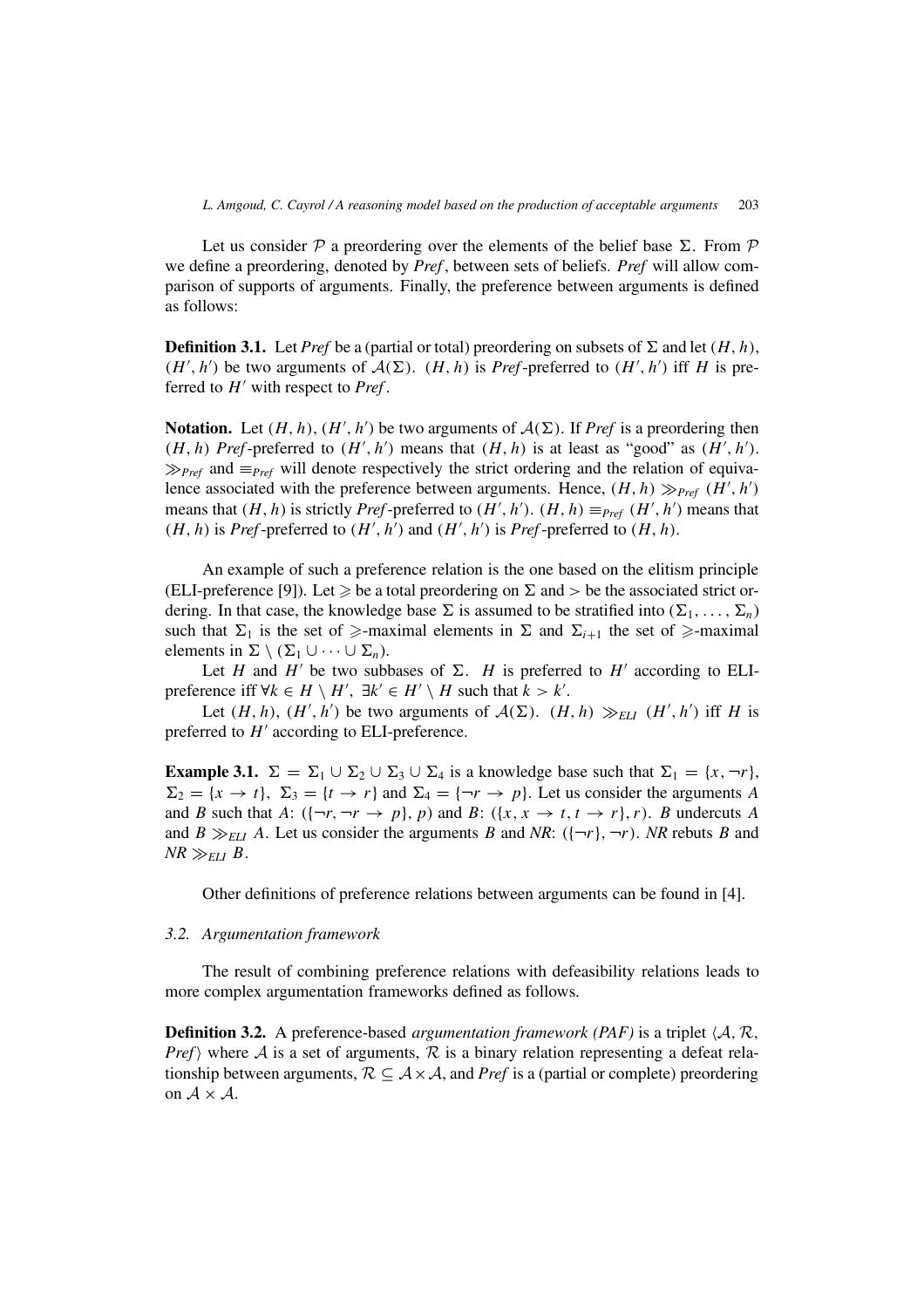Let us consider  $P$  a preordering over the elements of the belief base  $\Sigma$ . From  $P$ we define a preordering, denoted by *Pref* , between sets of beliefs. *Pref* will allow comparison of supports of arguments. Finally, the preference between arguments is defined as follows:

**Definition 3.1.** Let *Pref* be a (partial or total) preordering on subsets of  $\Sigma$  and let  $(H, h)$ ,  $(H', h')$  be two arguments of  $\mathcal{A}(\Sigma)$ .  $(H, h)$  is *Pref*-preferred to  $(H', h')$  iff *H* is preferred to  $H'$  with respect to Pref.

**Notation.** Let  $(H, h)$ ,  $(H', h')$  be two arguments of  $\mathcal{A}(\Sigma)$ . If *Pref* is a preordering then *(H, h) Pref*-preferred to  $(H', h')$  means that  $(H, h)$  is at least as "good" as  $(H', h')$ . *Pref* and ≡*Pref* will denote respectively the strict ordering and the relation of equivalence associated with the preference between arguments. Hence,  $(H, h) \gg_{\text{Pref}} (H', h')$ means that  $(H, h)$  is strictly *Pref*-preferred to  $(H', h')$ .  $(H, h) \equiv_{Pref} (H', h')$  means that *(H, h)* is *Pref*-preferred to  $(H', h')$  and  $(H', h')$  is *Pref*-preferred to  $(H, h)$ .

An example of such a preference relation is the one based on the elitism principle (ELI-preference [9]). Let  $\geq$  be a total preordering on  $\Sigma$  and  $>$  be the associated strict ordering. In that case, the knowledge base  $\Sigma$  is assumed to be stratified into  $(\Sigma_1, \ldots, \Sigma_n)$ such that  $\Sigma_1$  is the set of  $\geq$ -maximal elements in  $\Sigma$  and  $\Sigma_{i+1}$  the set of  $\geq$ -maximal elements in  $\Sigma \setminus (\Sigma_1 \cup \cdots \cup \Sigma_n)$ .

Let *H* and *H'* be two subbases of  $\Sigma$ . *H* is preferred to *H'* according to ELIpreference iff  $\forall k \in H \setminus H'$ ,  $\exists k' \in H' \setminus H$  such that  $k > k'$ .

Let  $(H, h)$ ,  $(H', h')$  be two arguments of  $\mathcal{A}(\Sigma)$ .  $(H, h) \gg_{ELI} (H', h')$  iff *H* is preferred to  $H'$  according to ELI-preference.

**Example 3.1.**  $\Sigma = \Sigma_1 \cup \Sigma_2 \cup \Sigma_3 \cup \Sigma_4$  is a knowledge base such that  $\Sigma_1 = \{x, \neg r\}$ ,  $\Sigma_2 = \{x \rightarrow t\}$ ,  $\Sigma_3 = \{t \rightarrow r\}$  and  $\Sigma_4 = \{\neg r \rightarrow p\}$ . Let us consider the arguments *A* and *B* such that *A*:  $(\{\neg r, \neg r \rightarrow p\}, p)$  and *B*:  $(\{x, x \rightarrow t, t \rightarrow r\}, r)$ . *B* undercuts *A* and *B*  $\gg$ <sub>*ELI*</sub> *A*. Let us consider the arguments *B* and *NR*:  $({\neg r}, {\neg r})$ . *NR* rebuts *B* and  $NR \gg_{ELI} B$ .

Other definitions of preference relations between arguments can be found in [4].

# *3.2. Argumentation framework*

The result of combining preference relations with defeasibility relations leads to more complex argumentation frameworks defined as follows.

**Definition 3.2.** A preference-based *argumentation framework (PAF)* is a triplet  $\langle A, R, A \rangle$ *Pref*) where A is a set of arguments, R is a binary relation representing a defeat relationship between arguments,  $\mathcal{R} \subseteq \mathcal{A} \times \mathcal{A}$ , and *Pref* is a (partial or complete) preordering on  $A \times A$ .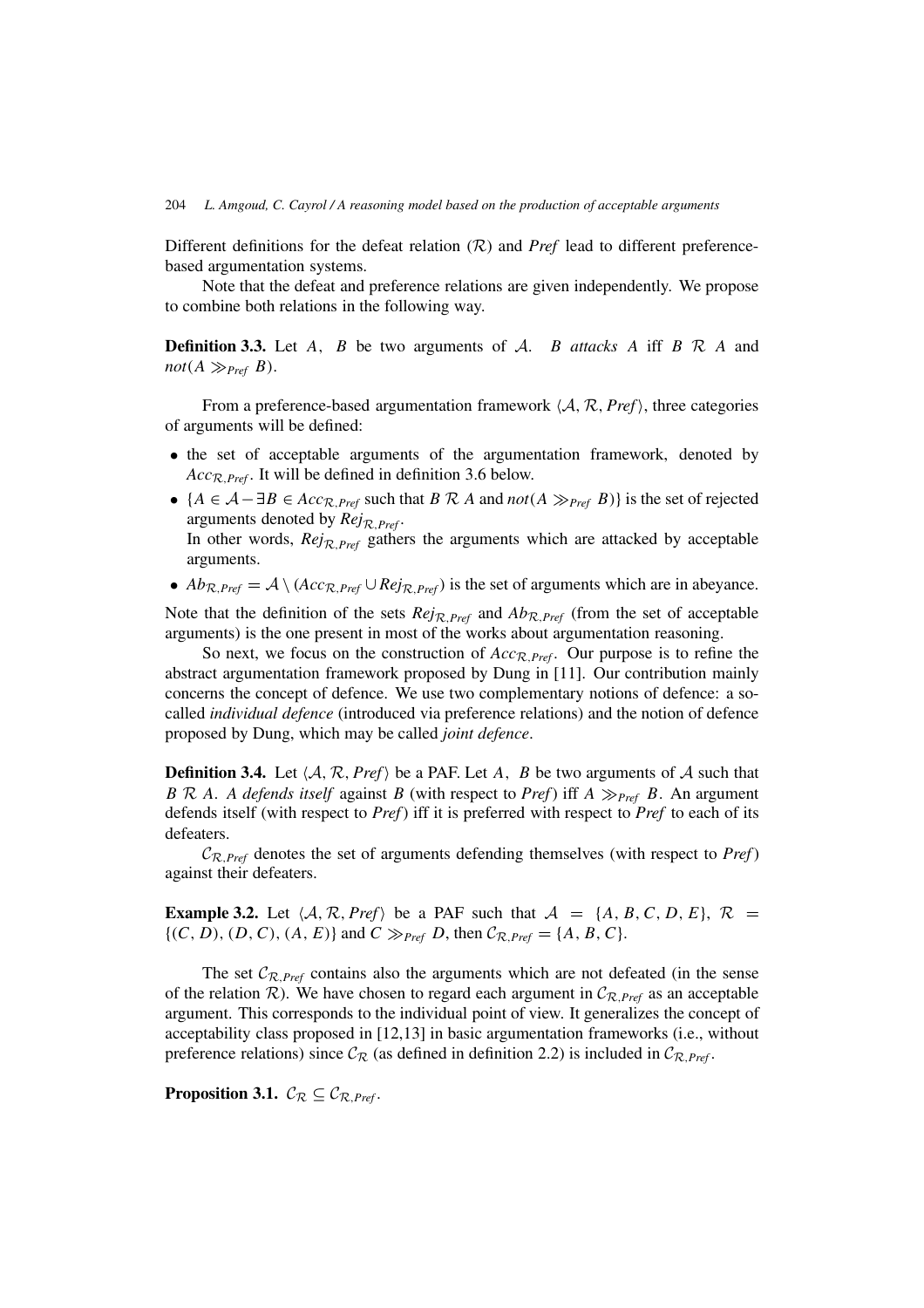Different definitions for the defeat relation (R) and *Pref* lead to different preferencebased argumentation systems.

Note that the defeat and preference relations are given independently. We propose to combine both relations in the following way.

**Definition 3.3.** Let *A, B* be two arguments of A. *B attacks A* iff *B* R *A* and  $not(A \gg_{Pref} B)$ .

From a preference-based argumentation framework  $\langle A, \mathcal{R}, \text{Pref} \rangle$ , three categories of arguments will be defined:

- the set of acceptable arguments of the argumentation framework, denoted by *Acc*R*,Pref* . It will be defined in definition 3.6 below.
- ${A \in \mathcal{A} \exists B \in Acc_{\mathcal{R}, Pref}$  such that  $B \mathcal{R} A$  and  $not(A \gg_{Pref} B)$  is the set of rejected arguments denoted by  $Rej_{R, Pref}$ .
	- In other words,  $Rej_{R,Pref}$  gathers the arguments which are attacked by acceptable arguments.
- $Ab_{\mathcal{R},Pref} = \mathcal{A} \setminus (Acc_{\mathcal{R},Pref} \cup Rej_{\mathcal{R},Pref})$  is the set of arguments which are in abeyance.

Note that the definition of the sets  $Rej_{R,Pref}$  and  $Ab_{R,Pref}$  (from the set of acceptable arguments) is the one present in most of the works about argumentation reasoning.

So next, we focus on the construction of  $Acc_{R,Pref}$ . Our purpose is to refine the abstract argumentation framework proposed by Dung in [11]. Our contribution mainly concerns the concept of defence. We use two complementary notions of defence: a socalled *individual defence* (introduced via preference relations) and the notion of defence proposed by Dung, which may be called *joint defence*.

**Definition 3.4.** Let  $\langle A, R, Pref \rangle$  be a PAF. Let *A*, *B* be two arguments of *A* such that *B*  $\mathcal{R}$  *A*. *A defends itself* against *B* (with respect to *Pref*) iff  $A \gg_{\text{Pref}} B$ . An argument defends itself (with respect to *Pref*) iff it is preferred with respect to *Pref* to each of its defeaters.

 $C_{\mathcal{R}, \text{Pref}}$  denotes the set of arguments defending themselves (with respect to *Pref*) against their defeaters.

**Example 3.2.** Let  $\langle A, \mathcal{R}, \text{Pref} \rangle$  be a PAF such that  $A = \{A, B, C, D, E\}, \mathcal{R}$  ${(C, D), (D, C), (A, E)}$  and  $C \gg_{Pref} D$ , then  $C_{\mathcal{R}, Pref} = \{A, B, C\}.$ 

The set  $C_{\mathcal{R}, \text{Pref}}$  contains also the arguments which are not defeated (in the sense of the relation  $\mathcal{R}$ ). We have chosen to regard each argument in  $\mathcal{C}_{\mathcal{R}, Pref}$  as an acceptable argument. This corresponds to the individual point of view. It generalizes the concept of acceptability class proposed in [12,13] in basic argumentation frameworks (i.e., without preference relations) since  $C_R$  (as defined in definition 2.2) is included in  $C_{R,Pref}$ .

**Proposition 3.1.**  $C_{\mathcal{R}} \subseteq C_{\mathcal{R}, Pref}$ .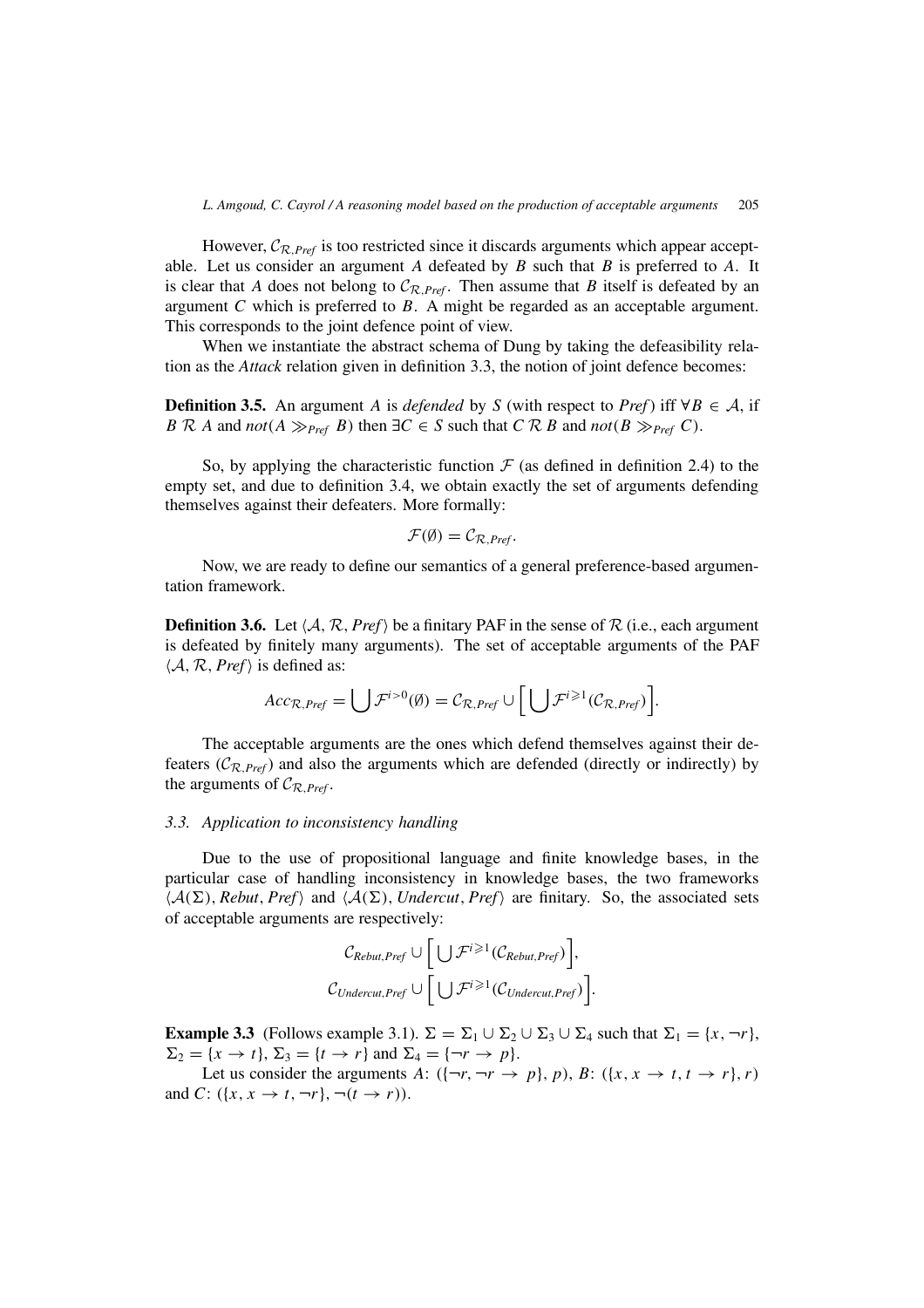However,  $C_{\mathcal{R}, \text{Pref}}$  is too restricted since it discards arguments which appear acceptable. Let us consider an argument *A* defeated by *B* such that *B* is preferred to *A*. It is clear that *A* does not belong to  $C_R$   $_{Pref}$ . Then assume that *B* itself is defeated by an argument *C* which is preferred to *B*. A might be regarded as an acceptable argument. This corresponds to the joint defence point of view.

When we instantiate the abstract schema of Dung by taking the defeasibility relation as the *Attack* relation given in definition 3.3, the notion of joint defence becomes:

**Definition 3.5.** An argument *A* is *defended* by *S* (with respect to *Pref*) iff  $\forall B \in \mathcal{A}$ , if *B*  $R$  *A* and  $not(A \gg_{Pref} B)$  then  $\exists C \in S$  such that  $C \mathcal{R} B$  and  $not(B \gg_{Pref} C)$ .

So, by applying the characteristic function  $\mathcal F$  (as defined in definition 2.4) to the empty set, and due to definition 3.4, we obtain exactly the set of arguments defending themselves against their defeaters. More formally:

$$
\mathcal{F}(\emptyset)=\mathcal{C}_{\mathcal{R},\mathit{Pref}}.
$$

Now, we are ready to define our semantics of a general preference-based argumentation framework.

**Definition 3.6.** Let  $\langle A, R, Pref \rangle$  be a finitary PAF in the sense of R (i.e., each argument is defeated by finitely many arguments). The set of acceptable arguments of the PAF  $\langle A, \mathcal{R}, \text{Pref} \rangle$  is defined as:

$$
Acc_{\mathcal{R},Pref} = \bigcup \mathcal{F}^{i>0}(\emptyset) = C_{\mathcal{R},Pref} \cup \bigg[\bigcup \mathcal{F}^{i\geqslant 1}(C_{\mathcal{R},Pref})\bigg].
$$

The acceptable arguments are the ones which defend themselves against their defeaters  $(\mathcal{C}_{\mathcal{R},Pref})$  and also the arguments which are defended (directly or indirectly) by the arguments of  $C_{\mathcal{R}, Pref}$ .

#### *3.3. Application to inconsistency handling*

Due to the use of propositional language and finite knowledge bases, in the particular case of handling inconsistency in knowledge bases, the two frameworks  $\langle A(\Sigma), \text{Rebut}, \text{Pref} \rangle$  and  $\langle A(\Sigma), \text{Undercut}, \text{Pref} \rangle$  are finitary. So, the associated sets of acceptable arguments are respectively:

$$
\mathcal{C}_{Rebut,Pref} \cup \left[ \bigcup \mathcal{F}^{i \geq 1}(\mathcal{C}_{Rebut,Pref}) \right],
$$
  

$$
\mathcal{C}_{Undercut,Pref} \cup \left[ \bigcup \mathcal{F}^{i \geq 1}(\mathcal{C}_{Undercut,Pref}) \right].
$$

**Example 3.3** (Follows example 3.1).  $\Sigma = \Sigma_1 \cup \Sigma_2 \cup \Sigma_3 \cup \Sigma_4$  such that  $\Sigma_1 = \{x, \neg r\}$ ,  $\Sigma_2 = \{x \rightarrow t\}, \Sigma_3 = \{t \rightarrow r\}$  and  $\Sigma_4 = \{\neg r \rightarrow p\}.$ 

Let us consider the arguments *A*:  $({\neg r, \neg r \rightarrow p}, p), B$ :  $({x, x \rightarrow t, t \rightarrow r}, r)$ and *C*:  $({x, x \to t, \neg r}, {\neg (t \to r)})$ .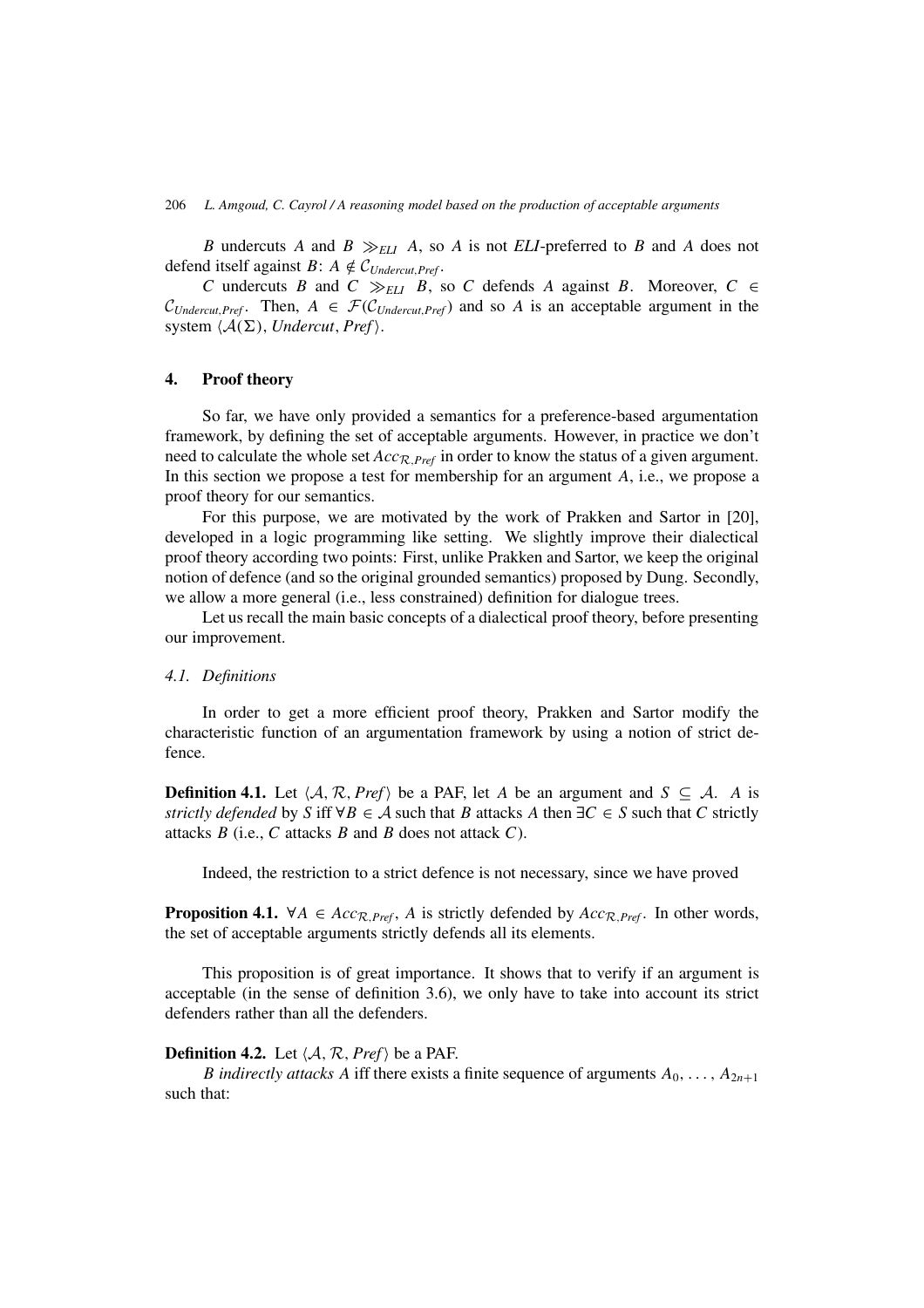*B* undercuts *A* and *B*  $\gg$ *ELI A*, so *A* is not *ELI*-preferred to *B* and *A* does not defend itself against  $B: A \notin \mathcal{C}_{\text{Undercut},\text{Pref}}$ .

*C* undercuts *B* and  $C \gg_{ELI} B$ , so *C* defends *A* against *B*. Moreover,  $C \in$  $C_{Undercut, Pref}$ . Then,  $A \in \mathcal{F}(C_{Undercut, Pref})$  and so *A* is an acceptable argument in the system  $\langle A(\Sigma), \text{Undercut}, \text{Pref} \rangle$ .

#### **4. Proof theory**

So far, we have only provided a semantics for a preference-based argumentation framework, by defining the set of acceptable arguments. However, in practice we don't need to calculate the whole set  $Acc_{R,Pref}$  in order to know the status of a given argument. In this section we propose a test for membership for an argument *A*, i.e., we propose a proof theory for our semantics.

For this purpose, we are motivated by the work of Prakken and Sartor in [20], developed in a logic programming like setting. We slightly improve their dialectical proof theory according two points: First, unlike Prakken and Sartor, we keep the original notion of defence (and so the original grounded semantics) proposed by Dung. Secondly, we allow a more general (i.e., less constrained) definition for dialogue trees.

Let us recall the main basic concepts of a dialectical proof theory, before presenting our improvement.

#### *4.1. Definitions*

In order to get a more efficient proof theory, Prakken and Sartor modify the characteristic function of an argumentation framework by using a notion of strict defence.

**Definition 4.1.** Let  $\langle A, R, Pref \rangle$  be a PAF, let *A* be an argument and  $S \subseteq A$ . *A* is *strictly defended* by *S* iff  $\forall B \in \mathcal{A}$  such that *B* attacks *A* then  $\exists C \in S$  such that *C* strictly attacks *B* (i.e., *C* attacks *B* and *B* does not attack *C*).

Indeed, the restriction to a strict defence is not necessary, since we have proved

**Proposition 4.1.** ∀*A* ∈ *Acc*<sub>R,</sub>*Pref*, *A* is strictly defended by  $Acc_{R, Pref}$ . In other words, the set of acceptable arguments strictly defends all its elements.

This proposition is of great importance. It shows that to verify if an argument is acceptable (in the sense of definition 3.6), we only have to take into account its strict defenders rather than all the defenders.

# **Definition 4.2.** Let  $\langle A, \mathcal{R}, \text{Pref} \rangle$  be a PAF.

*B indirectly attacks A* iff there exists a finite sequence of arguments  $A_0, \ldots, A_{2n+1}$ such that: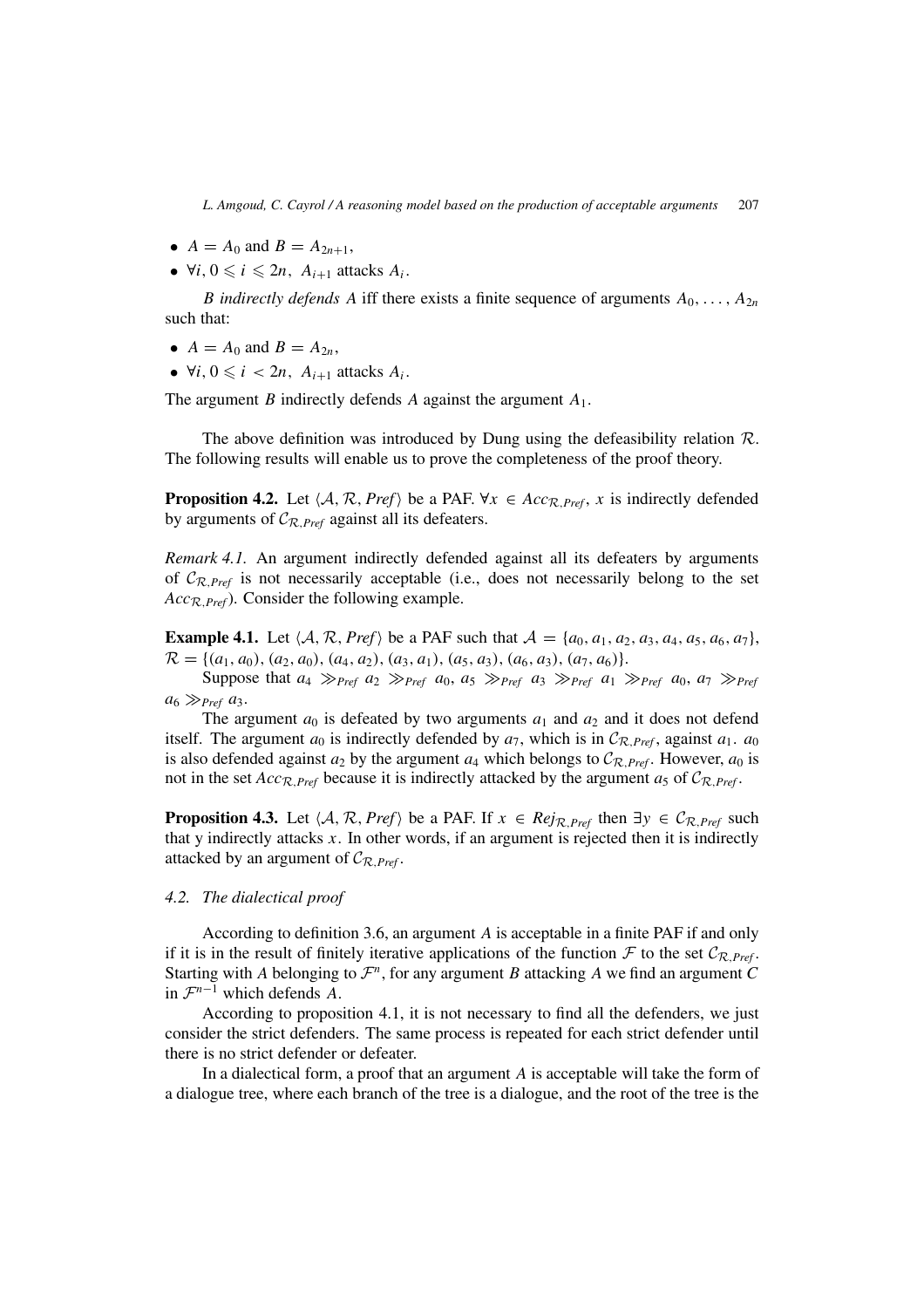- $A = A_0$  and  $B = A_{2n+1}$ ,
- $\forall i, 0 \leq i \leq 2n$ ,  $A_{i+1}$  attacks  $A_i$ .

*B indirectly defends A* iff there exists a finite sequence of arguments  $A_0, \ldots, A_{2n}$ such that:

- $A = A_0$  and  $B = A_{2n}$ ,
- $\forall i, 0 \leq i < 2n$ ,  $A_{i+1}$  attacks  $A_i$ .

The argument *B* indirectly defends *A* against the argument *A*1.

The above definition was introduced by Dung using the defeasibility relation R. The following results will enable us to prove the completeness of the proof theory.

**Proposition 4.2.** Let  $\langle A, R, Pref \rangle$  be a PAF.  $\forall x \in Acc_{R, Pref}, x$  is indirectly defended by arguments of  $C_{\mathcal{R}, \text{Pref}}$  against all its defeaters.

*Remark 4.1.* An argument indirectly defended against all its defeaters by arguments of  $C_{R,Pref}$  is not necessarily acceptable (i.e., does not necessarily belong to the set  $Acc_{\mathcal{R},Pref}$ ). Consider the following example.

**Example 4.1.** Let  $\langle A, \mathcal{R}, \text{Pref} \rangle$  be a PAF such that  $A = \{a_0, a_1, a_2, a_3, a_4, a_5, a_6, a_7\},\$  $\mathcal{R} = \{(a_1, a_0), (a_2, a_0), (a_4, a_2), (a_3, a_1), (a_5, a_3), (a_6, a_3), (a_7, a_6)\}.$ 

Suppose that  $a_4 \gg_{\text{Pref}} a_2 \gg_{\text{Pref}} a_0, a_5 \gg_{\text{Pref}} a_3 \gg_{\text{Pref}} a_1 \gg_{\text{Pref}} a_0, a_7 \gg_{\text{Pref}} a_7$  $a_6 \gg_{\text{Pref}} a_3$ .

The argument  $a_0$  is defeated by two arguments  $a_1$  and  $a_2$  and it does not defend itself. The argument  $a_0$  is indirectly defended by  $a_7$ , which is in  $C_{R,Pref}$ , against  $a_1$ .  $a_0$ is also defended against  $a_2$  by the argument  $a_4$  which belongs to  $C_{\mathcal{R}, Pref}$ . However,  $a_0$  is not in the set  $Acc_{\mathcal{R},Pref}$  because it is indirectly attacked by the argument  $a_5$  of  $\mathcal{C}_{\mathcal{R},Pref}$ .

**Proposition 4.3.** Let  $\langle A, R, Pref \rangle$  be a PAF. If  $x \in \text{Rej}_{R, Pref}$  then  $\exists y \in \mathcal{C}_{R, Pref}$  such that y indirectly attacks  $x$ . In other words, if an argument is rejected then it is indirectly attacked by an argument of  $C_{R, Pref}$ .

#### *4.2. The dialectical proof*

According to definition 3.6, an argument *A* is acceptable in a finite PAF if and only if it is in the result of finitely iterative applications of the function  $\mathcal F$  to the set  $\mathcal{C}_{\mathcal{R},\text{Pref}}$ . Starting with *A* belonging to  $\mathcal{F}^n$ , for any argument *B* attacking *A* we find an argument *C* in  $\mathcal{F}^{n-1}$  which defends *A*.

According to proposition 4.1, it is not necessary to find all the defenders, we just consider the strict defenders. The same process is repeated for each strict defender until there is no strict defender or defeater.

In a dialectical form, a proof that an argument *A* is acceptable will take the form of a dialogue tree, where each branch of the tree is a dialogue, and the root of the tree is the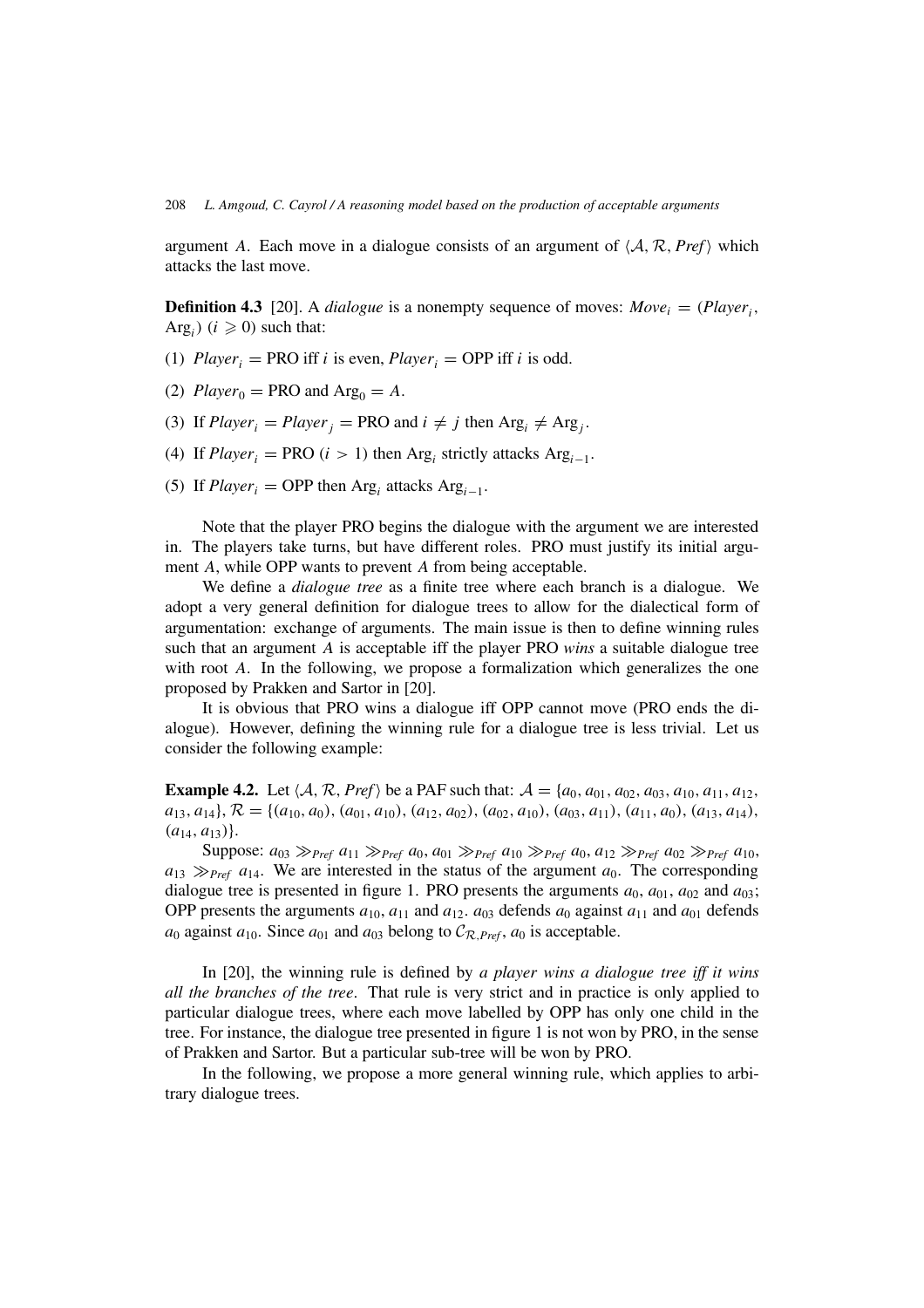argument *A*. Each move in a dialogue consists of an argument of  $\langle A, \mathcal{R}, \text{Pref} \rangle$  which attacks the last move.

**Definition 4.3** [20]. A *dialogue* is a nonempty sequence of moves:  $Move_i = (Player_i)$ , Arg<sub>*i*</sub>) ( $i \ge 0$ ) such that:

- (1) *Player*<sub>*i*</sub> = PRO iff *i* is even, *Player*<sub>*i*</sub> = OPP iff *i* is odd.
- (2)  $Player_0 = \text{PRO}$  and  $\text{Arg}_0 = A$ .
- (3) If  $Player_i = Player_j = PRO$  and  $i \neq j$  then  $Arg_i \neq Arg_j$ .
- (4) If *Player*<sub>*i*</sub> = PRO (*i* > 1) then Arg<sub>*i*</sub> strictly attacks Arg<sub>*i*-1</sub>.
- (5) If  $Player_i = \text{OPP}$  then Arg<sub>*i*</sub> attacks Arg<sub>*i*-1</sub>.

Note that the player PRO begins the dialogue with the argument we are interested in. The players take turns, but have different roles. PRO must justify its initial argument *A*, while OPP wants to prevent *A* from being acceptable.

We define a *dialogue tree* as a finite tree where each branch is a dialogue. We adopt a very general definition for dialogue trees to allow for the dialectical form of argumentation: exchange of arguments. The main issue is then to define winning rules such that an argument *A* is acceptable iff the player PRO *wins* a suitable dialogue tree with root *A*. In the following, we propose a formalization which generalizes the one proposed by Prakken and Sartor in [20].

It is obvious that PRO wins a dialogue iff OPP cannot move (PRO ends the dialogue). However, defining the winning rule for a dialogue tree is less trivial. Let us consider the following example:

**Example 4.2.** Let  $\langle A, R, Pref \rangle$  be a PAF such that:  $A = \{a_0, a_{01}, a_{02}, a_{03}, a_{10}, a_{11}, a_{12},$  $a_{13}, a_{14}, \mathcal{R} = \{(a_{10}, a_0), (a_{01}, a_{10}), (a_{12}, a_{02}), (a_{02}, a_{10}), (a_{03}, a_{11}), (a_{11}, a_0), (a_{13}, a_{14}),$  $(a_{14}, a_{13})$ .

Suppose:  $a_{03} \gg_{\text{Pref}} a_{11} \gg_{\text{Pref}} a_{0}, a_{01} \gg_{\text{Pref}} a_{10} \gg_{\text{Pref}} a_{0}, a_{12} \gg_{\text{Pref}} a_{02} \gg_{\text{Pref}} a_{10}$  $a_{13} \gg_{\text{Pref}} a_{14}$ . We are interested in the status of the argument  $a_0$ . The corresponding dialogue tree is presented in figure 1. PRO presents the arguments  $a_0$ ,  $a_{01}$ ,  $a_{02}$  and  $a_{03}$ ; OPP presents the arguments  $a_{10}$ ,  $a_{11}$  and  $a_{12}$ .  $a_{03}$  defends  $a_0$  against  $a_{11}$  and  $a_{01}$  defends *a*<sub>0</sub> against  $a_{10}$ . Since  $a_{01}$  and  $a_{03}$  belong to  $C_{\mathcal{R}, \text{Pref}}, a_0$  is acceptable.

In [20], the winning rule is defined by *a player wins a dialogue tree iff it wins all the branches of the tree*. That rule is very strict and in practice is only applied to particular dialogue trees, where each move labelled by OPP has only one child in the tree. For instance, the dialogue tree presented in figure 1 is not won by PRO, in the sense of Prakken and Sartor. But a particular sub-tree will be won by PRO.

In the following, we propose a more general winning rule, which applies to arbitrary dialogue trees.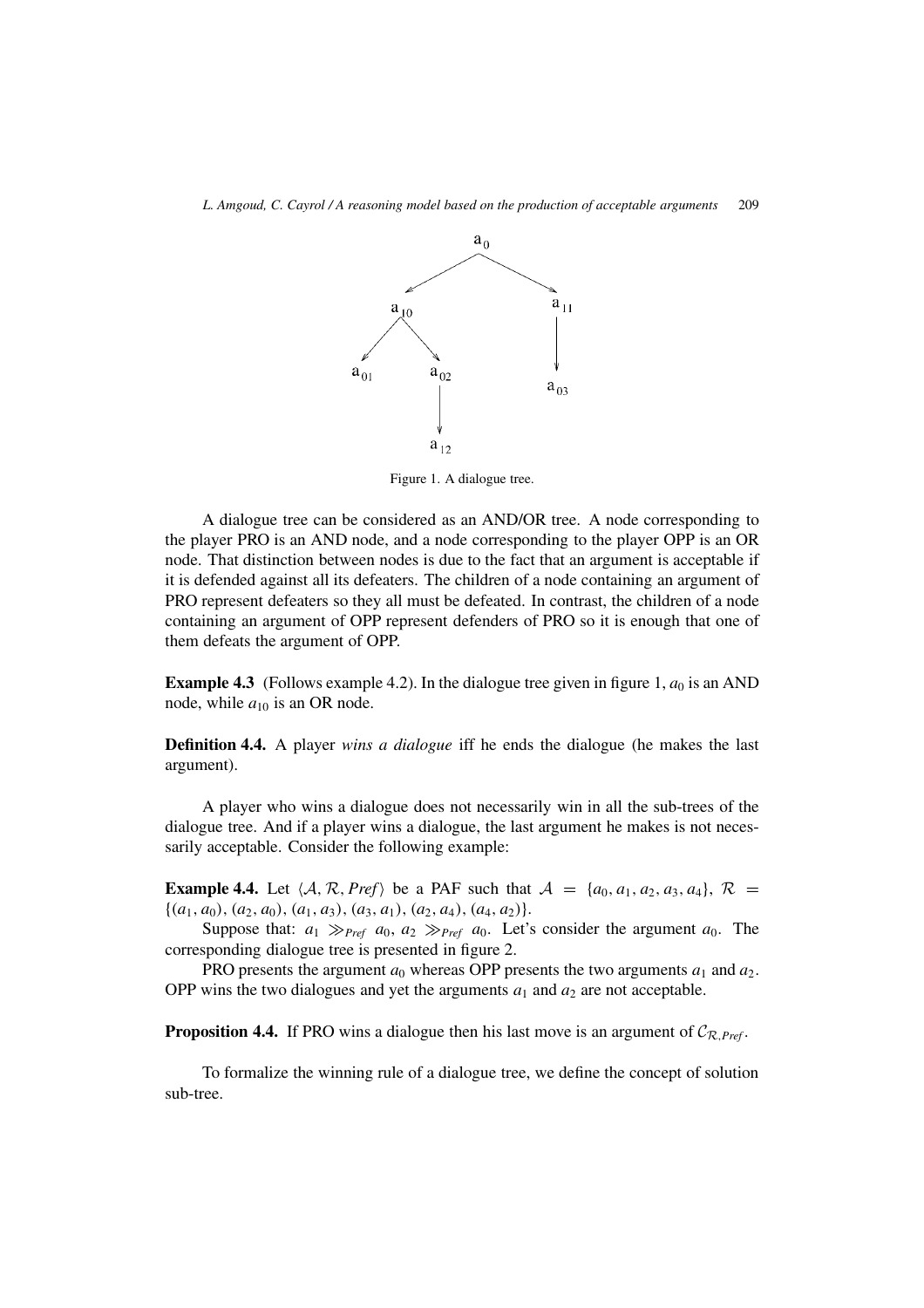

Figure 1. A dialogue tree.

A dialogue tree can be considered as an AND/OR tree. A node corresponding to the player PRO is an AND node, and a node corresponding to the player OPP is an OR node. That distinction between nodes is due to the fact that an argument is acceptable if it is defended against all its defeaters. The children of a node containing an argument of PRO represent defeaters so they all must be defeated. In contrast, the children of a node containing an argument of OPP represent defenders of PRO so it is enough that one of them defeats the argument of OPP.

**Example 4.3** (Follows example 4.2). In the dialogue tree given in figure 1,  $a_0$  is an AND node, while *a*<sup>10</sup> is an OR node.

**Definition 4.4.** A player *wins a dialogue* iff he ends the dialogue (he makes the last argument).

A player who wins a dialogue does not necessarily win in all the sub-trees of the dialogue tree. And if a player wins a dialogue, the last argument he makes is not necessarily acceptable. Consider the following example:

**Example 4.4.** Let  $\langle A, \mathcal{R}, \text{Pref} \rangle$  be a PAF such that  $A = \{a_0, a_1, a_2, a_3, a_4\}, \mathcal{R} =$  ${(a_1, a_0), (a_2, a_0), (a_1, a_3), (a_3, a_1), (a_2, a_4), (a_4, a_2)}.$ 

Suppose that:  $a_1 \gg_{\text{Pref}} a_0$ ,  $a_2 \gg_{\text{Pref}} a_0$ . Let's consider the argument  $a_0$ . The corresponding dialogue tree is presented in figure 2.

PRO presents the argument  $a_0$  whereas OPP presents the two arguments  $a_1$  and  $a_2$ . OPP wins the two dialogues and yet the arguments  $a_1$  and  $a_2$  are not acceptable.

**Proposition 4.4.** If PRO wins a dialogue then his last move is an argument of  $C_{\mathcal{R}}$  *Pref*.

To formalize the winning rule of a dialogue tree, we define the concept of solution sub-tree.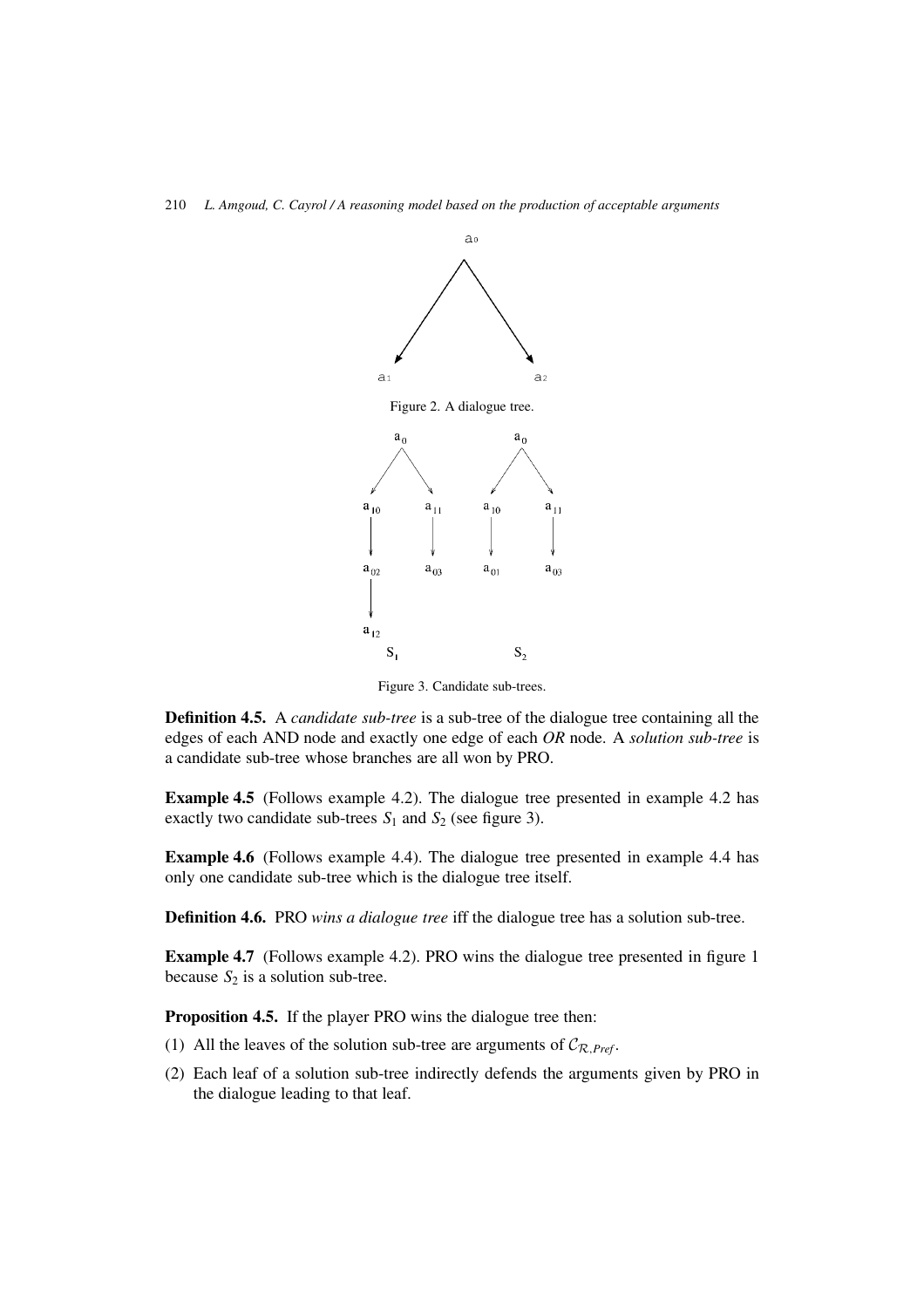

Figure 3. Candidate sub-trees.

**Definition 4.5.** A *candidate sub-tree* is a sub-tree of the dialogue tree containing all the edges of each AND node and exactly one edge of each *OR* node. A *solution sub-tree* is a candidate sub-tree whose branches are all won by PRO.

**Example 4.5** (Follows example 4.2). The dialogue tree presented in example 4.2 has exactly two candidate sub-trees  $S_1$  and  $S_2$  (see figure 3).

**Example 4.6** (Follows example 4.4). The dialogue tree presented in example 4.4 has only one candidate sub-tree which is the dialogue tree itself.

**Definition 4.6.** PRO *wins a dialogue tree* iff the dialogue tree has a solution sub-tree.

**Example 4.7** (Follows example 4.2). PRO wins the dialogue tree presented in figure 1 because  $S_2$  is a solution sub-tree.

**Proposition 4.5.** If the player PRO wins the dialogue tree then:

- (1) All the leaves of the solution sub-tree are arguments of  $C_{\mathcal{R},Pref}$ .
- (2) Each leaf of a solution sub-tree indirectly defends the arguments given by PRO in the dialogue leading to that leaf.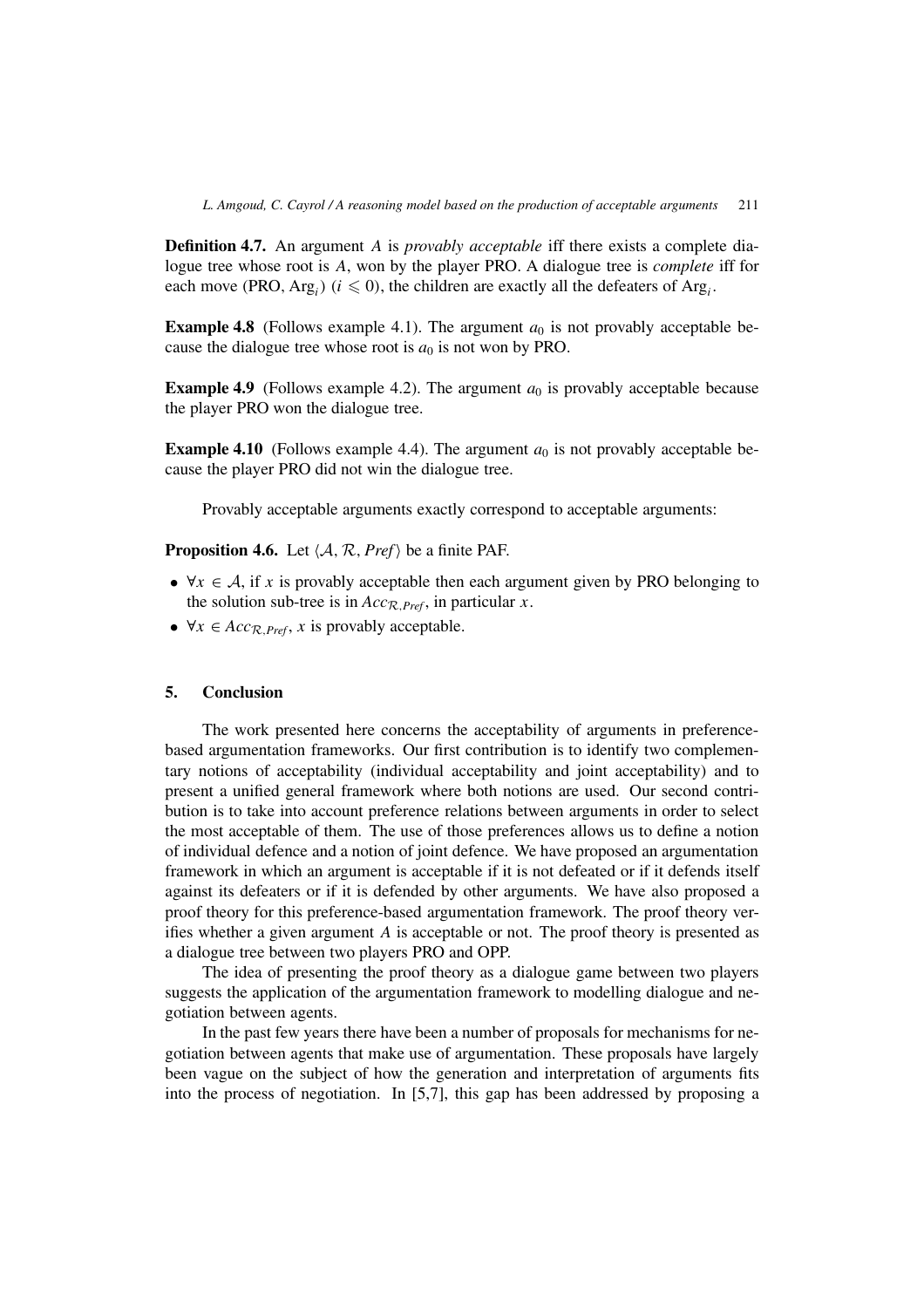**Definition 4.7.** An argument *A* is *provably acceptable* iff there exists a complete dialogue tree whose root is *A*, won by the player PRO. A dialogue tree is *complete* iff for each move *(PRO, Arg<sub>i</sub>)* ( $i \le 0$ ), the children are exactly all the defeaters of Arg<sub>*i*</sub>.

**Example 4.8** (Follows example 4.1). The argument  $a_0$  is not provably acceptable because the dialogue tree whose root is  $a_0$  is not won by PRO.

**Example 4.9** (Follows example 4.2). The argument  $a_0$  is provably acceptable because the player PRO won the dialogue tree.

**Example 4.10** (Follows example 4.4). The argument  $a_0$  is not provably acceptable because the player PRO did not win the dialogue tree.

Provably acceptable arguments exactly correspond to acceptable arguments:

**Proposition 4.6.** Let  $\langle A, R, Pref \rangle$  be a finite PAF.

- $\forall x \in A$ , if *x* is provably acceptable then each argument given by PRO belonging to the solution sub-tree is in  $Acc_{\mathcal{R},Pref}$ , in particular *x*.
- $\forall x \in Acc_{\mathcal{R}, Pref}, x \text{ is provably acceptable.}$

# **5. Conclusion**

The work presented here concerns the acceptability of arguments in preferencebased argumentation frameworks. Our first contribution is to identify two complementary notions of acceptability (individual acceptability and joint acceptability) and to present a unified general framework where both notions are used. Our second contribution is to take into account preference relations between arguments in order to select the most acceptable of them. The use of those preferences allows us to define a notion of individual defence and a notion of joint defence. We have proposed an argumentation framework in which an argument is acceptable if it is not defeated or if it defends itself against its defeaters or if it is defended by other arguments. We have also proposed a proof theory for this preference-based argumentation framework. The proof theory verifies whether a given argument *A* is acceptable or not. The proof theory is presented as a dialogue tree between two players PRO and OPP.

The idea of presenting the proof theory as a dialogue game between two players suggests the application of the argumentation framework to modelling dialogue and negotiation between agents.

In the past few years there have been a number of proposals for mechanisms for negotiation between agents that make use of argumentation. These proposals have largely been vague on the subject of how the generation and interpretation of arguments fits into the process of negotiation. In [5,7], this gap has been addressed by proposing a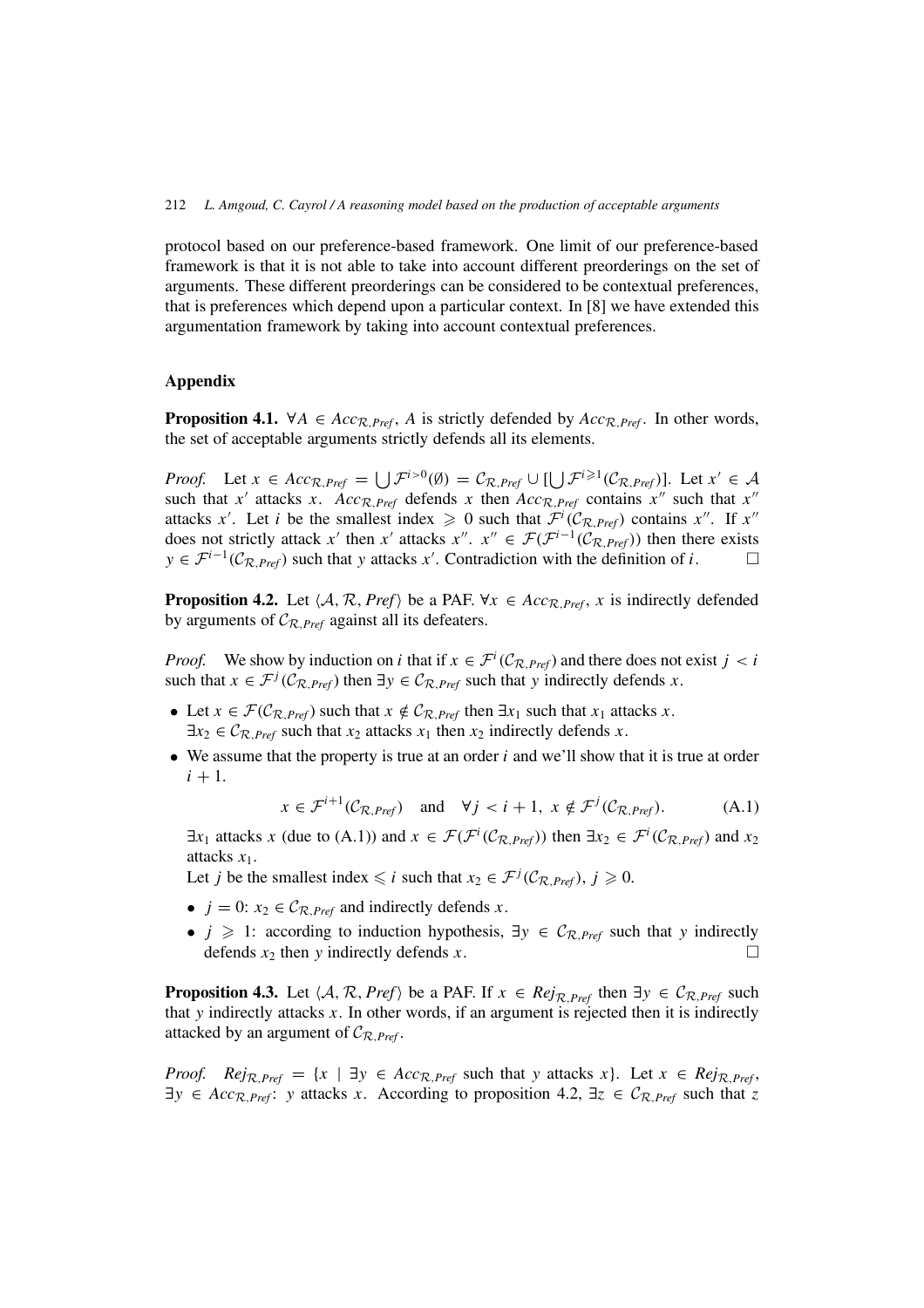protocol based on our preference-based framework. One limit of our preference-based framework is that it is not able to take into account different preorderings on the set of arguments. These different preorderings can be considered to be contextual preferences, that is preferences which depend upon a particular context. In [8] we have extended this argumentation framework by taking into account contextual preferences.

# **Appendix**

**Proposition 4.1.** ∀*A* ∈ *Acc*<sub>R,</sub>*Pref*, *A* is strictly defended by  $Acc_{R, Pref}$ . In other words, the set of acceptable arguments strictly defends all its elements.

*Proof.* Let  $x \in Acc_{\mathcal{R}, Pref} = \bigcup \mathcal{F}^{i>0}(\emptyset) = C_{\mathcal{R}, Pref} \cup [\bigcup \mathcal{F}^{i\geq 1}(C_{\mathcal{R},Pref})]$ . Let  $x' \in \mathcal{A}$ such that *x'* attacks *x*. *Acc*<sub>R,*Pref*</sub> defends *x* then  $Acc$ <sub>R,*Pref*</sub> contains *x''* such that *x''* attacks *x'*. Let *i* be the smallest index  $\geq 0$  such that  $\mathcal{F}^i(\mathcal{C}_{\mathcal{R},\text{Pref}})$  contains *x''*. If *x''* does not strictly attack *x'* then *x'* attacks *x''*.  $x'' \in \mathcal{F}(\mathcal{F}^{i-1}(\mathcal{C}_{\mathcal{R},\text{Pref}}))$  then there exists  $y \in \mathcal{F}^{i-1}(\mathcal{C}_{\mathcal{R},\mathcal{P},\mathcal{R}})$  such that *y* attacks *x'* Contradiction with the definition of  $y \in \mathcal{F}^{i-1}(\mathcal{C}_{\mathcal{R},\text{Pref}})$  such that *y* attacks *x*'. Contradiction with the definition of *i*.

**Proposition 4.2.** Let  $\langle A, R, Pref \rangle$  be a PAF.  $\forall x \in Acc_{R, Pref}, x$  is indirectly defended by arguments of  $C_{\mathcal{R}, \text{Pref}}$  against all its defeaters.

*Proof.* We show by induction on *i* that if  $x \in \mathcal{F}^i(\mathcal{C}_{\mathcal{R},\mathit{Pref}})$  and there does not exist  $j < i$ such that  $x \in \mathcal{F}^j(\mathcal{C}_{\mathcal{R}, \text{Pref}})$  then  $\exists y \in \mathcal{C}_{\mathcal{R}, \text{Pref}}$  such that *y* indirectly defends *x*.

- Let  $x \in \mathcal{F}(\mathcal{C}_{\mathcal{R}, \text{Pref}})$  such that  $x \notin \mathcal{C}_{\mathcal{R}, \text{Pref}}$  then  $\exists x_1$  such that  $x_1$  attacks  $x$ .  $\exists x_2 \in \mathcal{C}_{\mathcal{R}, \text{Pref}}$  such that  $x_2$  attacks  $x_1$  then  $x_2$  indirectly defends  $x$ .
- We assume that the property is true at an order *i* and we'll show that it is true at order  $i + 1$ .

$$
x \in \mathcal{F}^{i+1}(\mathcal{C}_{\mathcal{R},\text{Pref}}) \quad \text{and} \quad \forall j < i+1, \ x \notin \mathcal{F}^j(\mathcal{C}_{\mathcal{R},\text{Pref}}). \tag{A.1}
$$

 $\exists x_1$  attacks *x* (due to (A.1)) and  $x \in \mathcal{F}(\mathcal{F}^i(\mathcal{C}_{\mathcal{R},\mathit{Pref}}))$  then  $\exists x_2 \in \mathcal{F}^i(\mathcal{C}_{\mathcal{R},\mathit{Pref}})$  and  $x_2$ attacks *x*1.

Let *j* be the smallest index  $\leq i$  such that  $x_2 \in \mathcal{F}^j(\mathcal{C}_{\mathcal{R},\text{Pref}})$ ,  $j \geq 0$ .

- $j = 0$ :  $x_2 \in \mathcal{C}_{\mathcal{R}, \text{Pref}}$  and indirectly defends *x*.
- *j*  $\geq$  1: according to induction hypothesis,  $\exists y \in C_{\mathcal{R}, Pref}$  such that *y* indirectly defends *r* defends  $x_2$  then *y* indirectly defends  $x$ .

**Proposition 4.3.** Let  $\langle A, R, Pref \rangle$  be a PAF. If  $x \in \text{Rej}_{R, Pref}$  then  $\exists y \in \mathcal{C}_{R, Pref}$  such that *y* indirectly attacks *x*. In other words, if an argument is rejected then it is indirectly attacked by an argument of  $C_{\mathcal{R}, \text{Pref}}$ .

*Proof.*  $Rej_{\mathcal{R},Pref} = \{x \mid \exists y \in Acc_{\mathcal{R},Pref} \text{ such that } y \text{ attacks } x\}.$  Let  $x \in Rej_{\mathcal{R},Pref}$ ∃*y* ∈ *Acc*R*,Pref* : *y* attacks *x*. According to proposition 4.2, ∃*z* ∈ CR*,Pref* such that *z*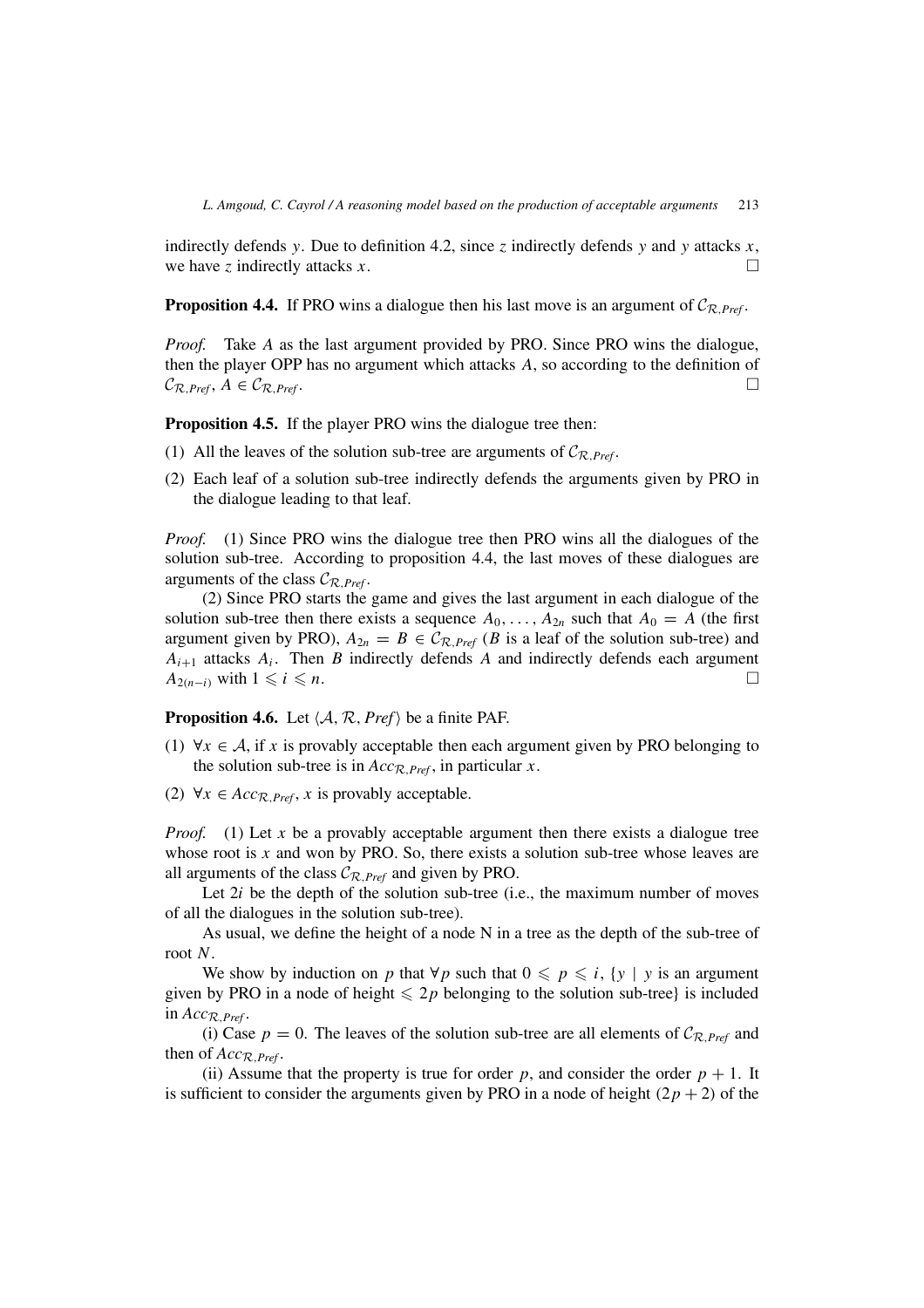indirectly defends *y*. Due to definition 4.2, since *z* indirectly defends *y* and *y* attacks *x*, we have *z* indirectly attacks *x*.

**Proposition 4.4.** If PRO wins a dialogue then his last move is an argument of  $C_{R,Pref}$ .

*Proof.* Take *A* as the last argument provided by PRO. Since PRO wins the dialogue, then the player OPP has no argument which attacks *A*, so according to the definition of  $C_{\mathcal{R}, \text{Pref}}, A \in \mathcal{C}_{\mathcal{R}, \text{Pref}}.$ 

**Proposition 4.5.** If the player PRO wins the dialogue tree then:

- (1) All the leaves of the solution sub-tree are arguments of  $C_{\mathcal{R},\text{Pref}}$ .
- (2) Each leaf of a solution sub-tree indirectly defends the arguments given by PRO in the dialogue leading to that leaf.

*Proof.* (1) Since PRO wins the dialogue tree then PRO wins all the dialogues of the solution sub-tree. According to proposition 4.4, the last moves of these dialogues are arguments of the class  $C_{\mathcal{R}, Pref}$ .

(2) Since PRO starts the game and gives the last argument in each dialogue of the solution sub-tree then there exists a sequence  $A_0, \ldots, A_{2n}$  such that  $A_0 = A$  (the first argument given by PRO),  $A_{2n} = B \in C_{\mathcal{R}, Pref}$  (*B* is a leaf of the solution sub-tree) and  $A_{i+1}$  attacks  $A_i$ . Then  $B$  indirectly defends  $A$  and indirectly defends each argument  $A_{2(n-i)}$  with  $1 \le i \le n$  $\leqslant n$ .

**Proposition 4.6.** Let  $\langle A, R, Pref \rangle$  be a finite PAF.

- (1)  $\forall x \in A$ , if *x* is provably acceptable then each argument given by PRO belonging to the solution sub-tree is in  $Acc_{\mathcal{R},Pref}$ , in particular *x*.
- (2)  $\forall x \in Acc_{\mathcal{R}, Pref}, x \text{ is provably acceptable.}$

*Proof.* (1) Let *x* be a provably acceptable argument then there exists a dialogue tree whose root is *x* and won by PRO. So, there exists a solution sub-tree whose leaves are all arguments of the class  $C_{\mathcal{R}, \text{Pref}}$  and given by PRO.

Let 2*i* be the depth of the solution sub-tree (i.e., the maximum number of moves of all the dialogues in the solution sub-tree).

As usual, we define the height of a node N in a tree as the depth of the sub-tree of root *N*.

We show by induction on *p* that  $\forall p$  such that  $0 \leq p \leq i$ ,  $\{y \mid y \text{ is an argument} \}$ given by PRO in a node of height  $\leq 2p$  belonging to the solution sub-tree} is included in *Acc*R*,Pref* .

(i) Case  $p = 0$ . The leaves of the solution sub-tree are all elements of  $C_{\mathcal{R}, Pref}$  and then of  $Acc_{R, Pref}$ .

(ii) Assume that the property is true for order  $p$ , and consider the order  $p + 1$ . It is sufficient to consider the arguments given by PRO in a node of height  $(2p + 2)$  of the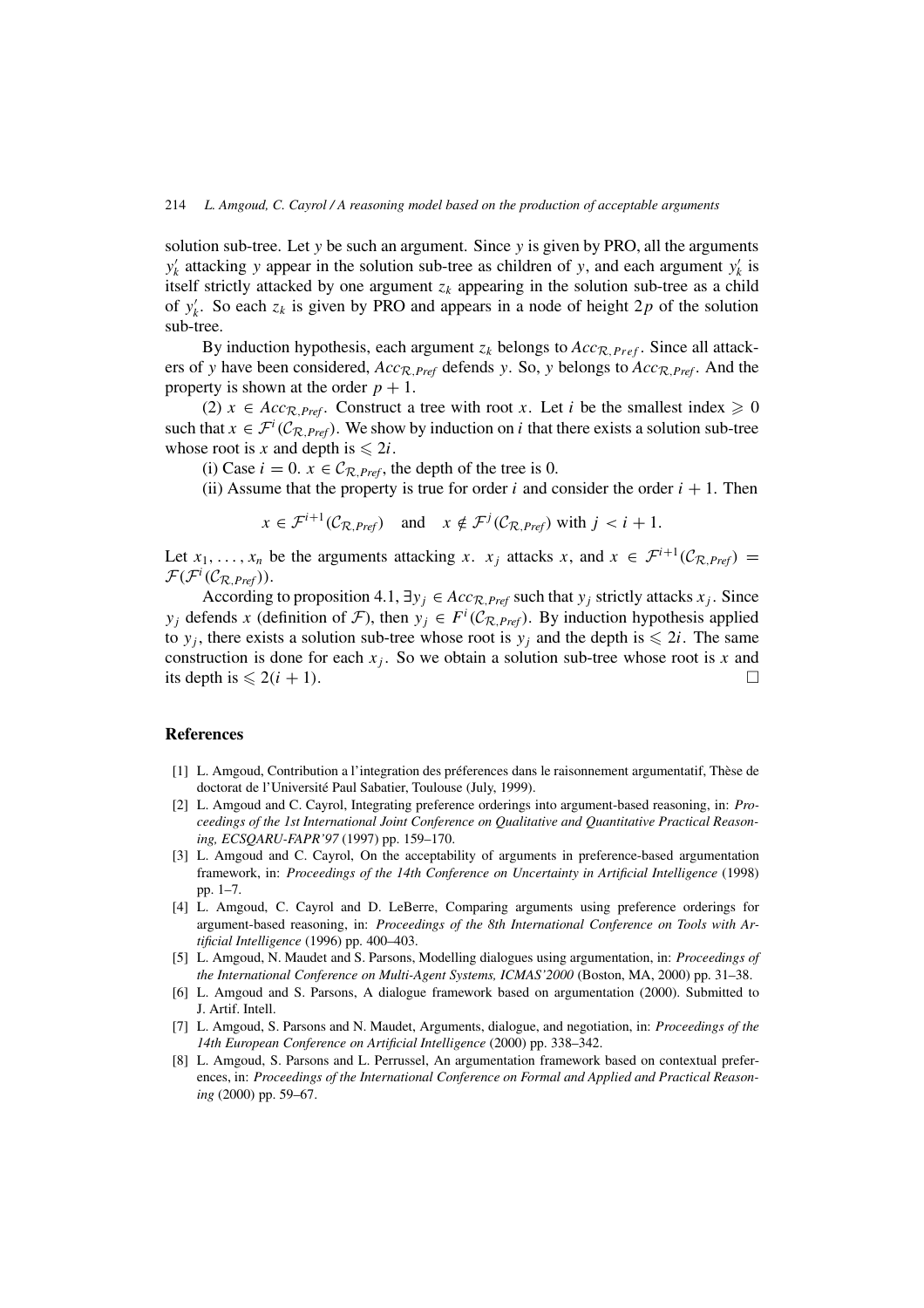solution sub-tree. Let *y* be such an argument. Since *y* is given by PRO, all the arguments  $y'_{k}$  attacking *y* appear in the solution sub-tree as children of *y*, and each argument  $y'_{k}$  is itself strictly attacked by one argument  $z_k$  appearing in the solution sub-tree as a child of  $y'_{k}$ . So each  $z_{k}$  is given by PRO and appears in a node of height 2p of the solution sub-tree.

By induction hypothesis, each argument  $z_k$  belongs to  $Acc_{\mathcal{R},Pref}$ . Since all attackers of *y* have been considered, *Acc*R*,Pref* defends *y*. So, *y* belongs to *Acc*R*,Pref* . And the property is shown at the order  $p + 1$ .

(2)  $x \in Acc_{R.Pref}$ . Construct a tree with root x. Let *i* be the smallest index  $\geq 0$ such that  $x \in \mathcal{F}^i(\mathcal{C}_{\mathcal{R},\text{Pref}})$ . We show by induction on *i* that there exists a solution sub-tree whose root is *x* and depth is  $\leq 2i$ .

(i) Case  $i = 0$ ,  $x \in \mathcal{C}_{\mathcal{R}, \text{Pref}}$ , the depth of the tree is 0.

(ii) Assume that the property is true for order *i* and consider the order  $i + 1$ . Then

$$
x \in \mathcal{F}^{i+1}(\mathcal{C}_{\mathcal{R},\text{Pref}}) \quad \text{and} \quad x \notin \mathcal{F}^j(\mathcal{C}_{\mathcal{R},\text{Pref}}) \text{ with } j < i+1.
$$

Let  $x_1, \ldots, x_n$  be the arguments attacking *x*.  $x_j$  attacks  $x_j$ , and  $x \in \mathcal{F}^{i+1}(\mathcal{C}_{\mathcal{R},\text{Pref}})$  $\mathcal{F}(\mathcal{F}^i(\mathcal{C}_{\mathcal{R},\textit{Pref}})).$ 

According to proposition 4.1,  $\exists y_j \in Acc_{\mathcal{R}, Pref}$  such that  $y_j$  strictly attacks  $x_j$ . Since *y<sub>j</sub>* defends *x* (definition of *F*), then  $y_j \in F^i(\mathcal{C}_{\mathcal{R}, \text{Pref}})$ . By induction hypothesis applied to  $y_j$ , there exists a solution sub-tree whose root is  $y_j$  and the depth is  $\leq 2i$ . The same construction is done for each  $x_i$ . So we obtain a solution sub-tree whose root is x and its depth is  $\leq 2(i + 1)$ .

#### **References**

- [1] L. Amgoud, Contribution a l'integration des préferences dans le raisonnement argumentatif, Thèse de doctorat de l'Université Paul Sabatier, Toulouse (July, 1999).
- [2] L. Amgoud and C. Cayrol, Integrating preference orderings into argument-based reasoning, in: *Proceedings of the 1st International Joint Conference on Qualitative and Quantitative Practical Reasoning, ECSQARU-FAPR'97* (1997) pp. 159–170.
- [3] L. Amgoud and C. Cayrol, On the acceptability of arguments in preference-based argumentation framework, in: *Proceedings of the 14th Conference on Uncertainty in Artificial Intelligence* (1998) pp. 1–7.
- [4] L. Amgoud, C. Cayrol and D. LeBerre, Comparing arguments using preference orderings for argument-based reasoning, in: *Proceedings of the 8th International Conference on Tools with Artificial Intelligence* (1996) pp. 400–403.
- [5] L. Amgoud, N. Maudet and S. Parsons, Modelling dialogues using argumentation, in: *Proceedings of the International Conference on Multi-Agent Systems, ICMAS'2000* (Boston, MA, 2000) pp. 31–38.
- [6] L. Amgoud and S. Parsons, A dialogue framework based on argumentation (2000). Submitted to J. Artif. Intell.
- [7] L. Amgoud, S. Parsons and N. Maudet, Arguments, dialogue, and negotiation, in: *Proceedings of the 14th European Conference on Artificial Intelligence* (2000) pp. 338–342.
- [8] L. Amgoud, S. Parsons and L. Perrussel, An argumentation framework based on contextual preferences, in: *Proceedings of the International Conference on Formal and Applied and Practical Reasoning* (2000) pp. 59–67.